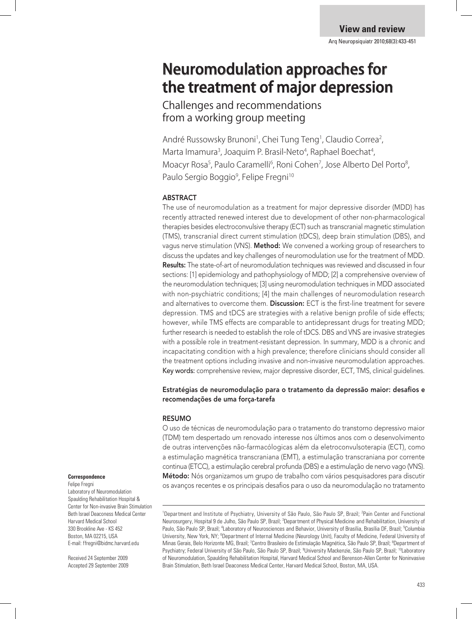# Neuromodulation approaches for the treatment of major depression

Challenges and recommendations from a working group meeting

André Russowsky Brunoni<sup>1</sup>, Chei Tung Teng<sup>1</sup>, Claudio Correa<sup>2</sup>, Marta Imamura<sup>3</sup>, Joaquim P. Brasil-Neto<sup>4</sup>, Raphael Boechat<sup>4</sup>, Moacyr Rosa<sup>5</sup>, Paulo Caramelli<sup>6</sup>, Roni Cohen<sup>7</sup>, Jose Alberto Del Porto<sup>8</sup>, Paulo Sergio Boggio<sup>9</sup>, Felipe Fregni<sup>10</sup>

# **ABSTRACT**

The use of neuromodulation as a treatment for major depressive disorder (MDD) has recently attracted renewed interest due to development of other non-pharmacological therapies besides electroconvulsive therapy (ECT) such as transcranial magnetic stimulation (TMS), transcranial direct current stimulation (tDCS), deep brain stimulation (DBS), and vagus nerve stimulation (VNS). Method: We convened a working group of researchers to discuss the updates and key challenges of neuromodulation use for the treatment of MDD. Results: The state-of-art of neuromodulation techniques was reviewed and discussed in four sections: [1] epidemiology and pathophysiology of MDD; [2] a comprehensive overview of the neuromodulation techniques; [3] using neuromodulation techniques in MDD associated with non-psychiatric conditions; [4] the main challenges of neuromodulation research and alternatives to overcome them. Discussion: ECT is the first-line treatment for severe depression. TMS and tDCS are strategies with a relative benign profile of side effects; however, while TMS effects are comparable to antidepressant drugs for treating MDD; further research is needed to establish the role of tDCS. DBS and VNS are invasive strategies with a possible role in treatment-resistant depression. In summary, MDD is a chronic and incapacitating condition with a high prevalence; therefore clinicians should consider all the treatment options including invasive and non-invasive neuromodulation approaches. Key words: comprehensive review, major depressive disorder, ECT, TMS, clinical guidelines.

# Estratégias de neuromodulação para o tratamento da depressão maior: desafios e recomendações de uma força-tarefa

# Resumo

O uso de técnicas de neuromodulação para o tratamento do transtorno depressivo maior (TDM) tem despertado um renovado interesse nos últimos anos com o desenvolvimento de outras intervenções não-farmacólogicas além da eletroconvulsoterapia (ECT), como a estimulação magnética transcraniana (EMT), a estimulação transcraniana por corrente continua (ETCC), a estimulação cerebral profunda (DBS) e a estimulação de nervo vago (VNS). Método: Nós organizamos um grupo de trabalho com vários pesquisadores para discutir os avanços recentes e os principais desafios para o uso da neuromodulação no tratamento

<sup>1</sup>Department and Institute of Psychiatry, University of São Paulo, São Paulo SP, Brazil; <sup>2</sup>Pain Center and Functional Neurosurgery, Hospital 9 de Julho, São Paulo SP, Brazil; <sup>3</sup>Department of Physical Medicine and Rehabilitation, University of Paulo, São Paulo SP, Brazil; <sup>4</sup>Laboratory of Neurosciences and Behavior, University of Brasília, Brasília DF, Brazil; <sup>5</sup>Columbia University, New York, NY; <sup>6</sup>Department of Internal Medicine (Neurology Unit), Faculty of Medicine, Federal University of Minas Gerais, Belo Horizonte MG, Brazil; <sup>7</sup>Centro Brasileiro de Estimulação Magnética, São Paulo SP, Brazil; <sup>8</sup>Department of Psychiatry; Federal University of São Paulo, São Paulo SP, Brazil; <sup>9</sup>University Mackenzie, São Paulo SP, Brazil; <sup>10</sup>Laboratory of Neuromodulation, Spaulding Rehabilitation Hospital, Harvard Medical School and Berenson-Allen Center for Noninvasive Brain Stimulation, Beth Israel Deaconess Medical Center, Harvard Medical School, Boston, MA, USA.

#### **Correspondence**

Felipe Fregni Laboratory of Neuromodulation Spaulding Rehabilitation Hospital & Center for Non-invasive Brain Stimulation Beth Israel Deaconess Medical Center Harvard Medical School 330 Brookline Ave - KS 452 Boston, MA 02215, USA E-mail: ffregni@bidmc.harvard.edu

Received 24 September 2009 Accepted 29 September 2009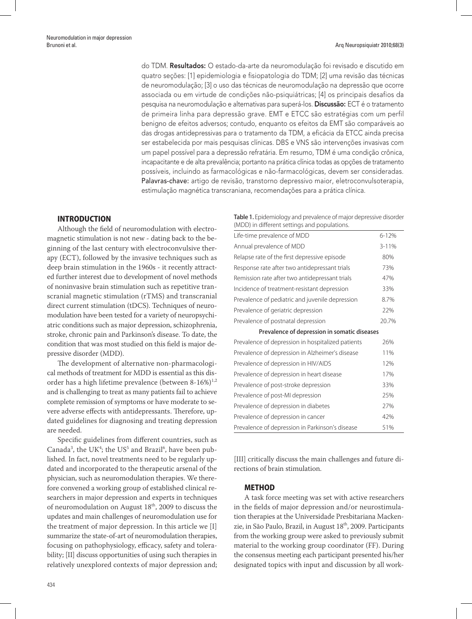do TDM. Resultados: O estado-da-arte da neuromodulação foi revisado e discutido em quatro seções: [1] epidemiologia e fisiopatologia do TDM; [2] uma revisão das técnicas de neuromodulação; [3] o uso das técnicas de neuromodulação na depressão que ocorre associada ou em virtude de condições não-psiquiátricas; [4] os principais desafios da pesquisa na neuromodulação e alternativas para superá-los. Discussão: ECT é o tratamento de primeira linha para depressão grave. EMT e ETCC são estratégias com um perfil benigno de efeitos adversos; contudo, enquanto os efeitos da EMT são comparáveis ao das drogas antidepressivas para o tratamento da TDM, a eficácia da ETCC ainda precisa ser estabelecida por mais pesquisas clínicas. DBS e VNS são intervenções invasivas com um papel possível para a depressão refratária. Em resumo, TDM é uma condição crônica, incapacitante e de alta prevalência; portanto na prática clínica todas as opções de tratamento possíveis, incluindo as farmacológicas e não-farmacológicas, devem ser consideradas. Palavras-chave: artigo de revisão, transtorno depressivo maior, eletroconvulsoterapia, estimulação magnética transcraniana, recomendações para a prática clínica.

## **INTRODUCTION**

Although the field of neuromodulation with electromagnetic stimulation is not new - dating back to the beginning of the last century with electroconvulsive therapy (ECT), followed by the invasive techniques such as deep brain stimulation in the 1960s - it recently attracted further interest due to development of novel methods of noninvasive brain stimulation such as repetitive transcranial magnetic stimulation (rTMS) and transcranial direct current stimulation (tDCS). Techniques of neuromodulation have been tested for a variety of neuropsy atric conditions such as major depression, schizophrenia, stroke, chronic pain and Parkinson's disease. To date, the condition that was most studied on this field is major depressive disorder (MDD).

The development of alternative non-pharmacological methods of treatment for MDD is essential as this disorder has a high lifetime prevalence (between  $8-16\%$ )<sup>1,2</sup> and is challenging to treat as many patients fail to achieve complete remission of symptoms or have moderate to severe adverse effects with antidepressants. Therefore, updated guidelines for diagnosing and treating depression are needed.

Specific guidelines from different countries, such as Canada $^3$ , the UK $^4$ ; the US $^5$  and Brazil $^6$ , have been published. In fact, novel treatments need to be regularly updated and incorporated to the therapeutic arsenal of the physician, such as neuromodulation therapies. We therefore convened a working group of established clinical researchers in major depression and experts in techniques of neuromodulation on August  $18<sup>th</sup>$ , 2009 to discuss the updates and main challenges of neuromodulation use for the treatment of major depression. In this article we [I] summarize the state-of-art of neuromodulation therapies, focusing on pathophysiology, efficacy, safety and tolerability; [II] discuss opportunities of using such therapies in relatively unexplored contexts of major depression and;

| iro- |                                    | 22% |
|------|------------------------------------|-----|
| chi- | Prevalence of geriatric depression |     |

Prevalence of postnatal depression 20.7% Prevalence of depression in somatic diseases

Table 1. Epidemiology and prevalence of major depressive disorder

Life-time prevalence of MDD 6-12% Annual prevalence of MDD 3-11% Relapse rate of the first depressive episode 80% Response rate after two antidepressant trials 73% Remission rate after two antidepressant trials 47% Incidence of treatment-resistant depression 33% Prevalence of pediatric and juvenile depression 8.7%

(MDD) in different settings and populations.

| I Tevalence of depression in somatic diseases     |     |
|---------------------------------------------------|-----|
| Prevalence of depression in hospitalized patients | 26% |
| Prevalence of depression in Alzheimer's disease   | 11% |
| Prevalence of depression in HIV/AIDS              | 12% |
| Prevalence of depression in heart disease         | 17% |
| Prevalence of post-stroke depression              | 33% |
| Prevalence of post-MI depression                  | 25% |
| Prevalence of depression in diabetes              | 27% |
| Prevalence of depression in cancer                | 42% |
| Prevalence of depression in Parkinson's disease   | 51% |

[III] critically discuss the main challenges and future directions of brain stimulation.

### **METHOD**

A task force meeting was set with active researchers in the fields of major depression and/or neurostimulation therapies at the Universidade Presbitariana Mackenzie, in São Paulo, Brazil, in August 18<sup>th</sup>, 2009. Participants from the working group were asked to previously submit material to the working group coordinator (FF). During the consensus meeting each participant presented his/her designated topics with input and discussion by all work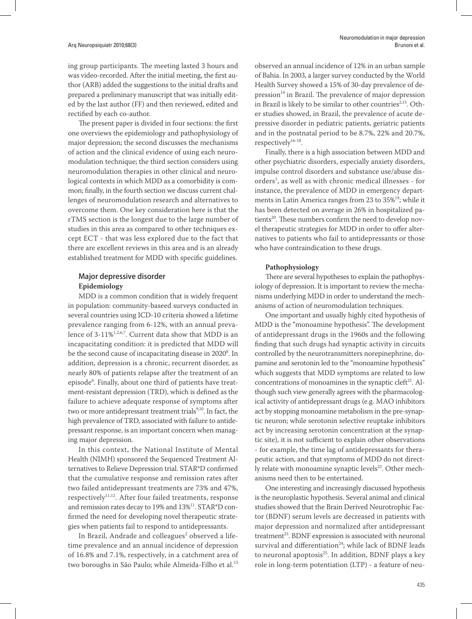ing group participants. The meeting lasted 3 hours and was video-recorded. After the initial meeting, the first author (ARB) added the suggestions to the initial drafts and prepared a preliminary manuscript that was initially edited by the last author (FF) and then reviewed, edited and rectified by each co-author.

The present paper is divided in four sections: the first one overviews the epidemiology and pathophysiology of major depression; the second discusses the mechanisms of action and the clinical evidence of using each neuromodulation technique; the third section considers using neuromodulation therapies in other clinical and neurological contexts in which MDD as a comorbidity is common; finally, in the fourth section we discuss current challenges of neuromodulation research and alternatives to overcome them. One key consideration here is that the rTMS section is the longest due to the large number of studies in this area as compared to other techniques except ECT - that was less explored due to the fact that there are excellent reviews in this area and is an already established treatment for MDD with specific guidelines.

# Major depressive disorder **Epidemiology**

MDD is a common condition that is widely frequent in population: community-baseed surveys conducted in several countries using ICD-10 criteria showed a lifetime prevalence ranging from 6-12%, with an annual prevalence of 3-11%<sup>1,2,6,7</sup>. Current data show that MDD is an incapacitating condition: it is predicted that MDD will be the second cause of incapacitating disease in 2020 $^8$ . In addition, depression is a chronic, recurrent disorder, as nearly 80% of patients relapse after the treatment of an episode<sup>4</sup>. Finally, about one third of patients have treatment-resistant depression (TRD), which is defined as the failure to achieve adequate response of symptoms after two or more antidepressant treatment trials<sup>9,10</sup>. In fact, the high prevalence of TRD, associated with failure to antidepressant response, is an important concern when managing major depression.

In this context, the National Institute of Mental Health (NIMH) sponsored the Sequenced Treatment Alternatives to Relieve Depression trial. STAR\*D confirmed that the cumulative response and remission rates after two failed antidepressant treatments are 73% and 47%, respectively<sup>11,12</sup>. After four failed treatments, response and remission rates decay to 19% and 13%<sup>11</sup>. STAR\*D confirmed the need for developing novel therapeutic strategies when patients fail to respond to antidepressants.

In Brazil, Andrade and colleagues<sup>2</sup> observed a lifetime prevalence and an annual incidence of depression of 16.8% and 7.1%, respectively, in a catchment area of two boroughs in São Paulo; while Almeida-Filho et al.<sup>13</sup> observed an annual incidence of 12% in an urban sample of Bahia. In 2003, a larger survey conducted by the World Health Survey showed a 15% of 30-day prevalence of de $presion<sup>14</sup>$  in Brazil. The prevalence of major depression in Brazil is likely to be similar to other countries<sup> $2,15$ </sup>. Other studies showed, in Brazil, the prevalence of acute depressive disorder in pediatric patients, geriatric patients and in the postnatal period to be 8.7%, 22% and 20.7%, respectively<sup>16-18</sup>.

Finally, there is a high association between MDD and other psychiatric disorders, especially anxiety disorders, impulse control disorders and substance use/abuse dis $orders<sup>1</sup>$ , as well as with chronic medical illnesses - for instance, the prevalence of MDD in emergency departments in Latin America ranges from 23 to 35%<sup>19</sup>; while it has been detected on average in 26% in hospitalized patients<sup>20</sup>. These numbers confirm the need to develop novel therapeutic strategies for MDD in order to offer alternatives to patients who fail to antidepressants or those who have contraindication to these drugs.

### **Pathophysiology**

There are several hypotheses to explain the pathophysiology of depression. It is important to review the mechanisms underlying MDD in order to understand the mechanisms of action of neuromodulation techniques.

One important and usually highly cited hypothesis of MDD is the "monoamine hypothesis". The development of antidepressant drugs in the 1960s and the following finding that such drugs had synaptic activity in circuits controlled by the neurotransmitters norepinephrine, dopamine and serotonin led to the "monoamine hypothesis" which suggests that MDD symptoms are related to low concentrations of monoamines in the synaptic cleft<sup>21</sup>. Although such view generally agrees with the pharmacological activity of antidepressant drugs (e.g. MAO inhibitors act by stopping monoamine metabolism in the pre-synaptic neuron; while serotonin selective reuptake inhibitors act by increasing serotonin concentration at the synaptic site), it is not sufficient to explain other observations - for example, the time lag of antidepressants for therapeutic action, and that symptoms of MDD do not directly relate with monoamine synaptic levels<sup>22</sup>. Other mechanisms need then to be entertained.

One interesting and increasingly discussed hypothesis is the neuroplastic hypothesis. Several animal and clinical studies showed that the Brain Derived Neurotrophic Factor (BDNF) serum levels are decreased in patients with major depression and normalized after antidepressant treatment<sup>23</sup>. BDNF expression is associated with neuronal survival and differentiation $^{24}$ ; while lack of BDNF leads to neuronal apoptosis<sup>25</sup>. In addition, BDNF plays a key role in long-term potentiation (LTP) - a feature of neu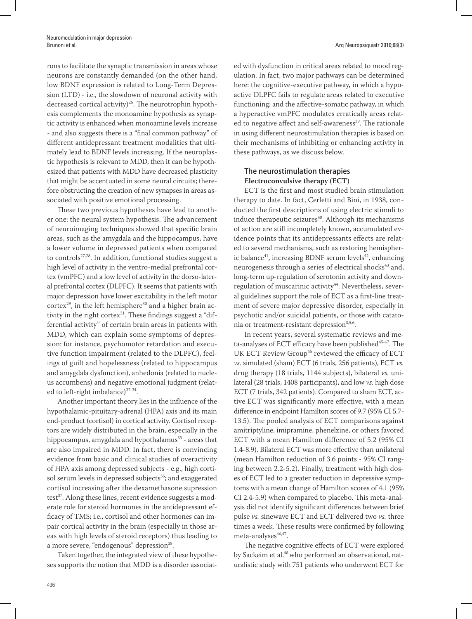rons to facilitate the synaptic transmission in areas whose neurons are constantly demanded (on the other hand, low BDNF expression is related to Long-Term Depression (LTD) - i.e., the slowdown of neuronal activity with decreased cortical activity)<sup>26</sup>. The neurotrophin hypothesis complements the monoamine hypothesis as synaptic activity is enhanced when monoamine levels increase - and also suggests there is a "final common pathway" of different antidepressant treatment modalities that ultimately lead to BDNF levels increasing. If the neuroplastic hypothesis is relevant to MDD, then it can be hypothesized that patients with MDD have decreased plasticity that might be accentuated in some neural circuits; therefore obstructing the creation of new synapses in areas associated with positive emotional processing.

These two previous hypotheses have lead to another one: the neural system hypothesis. The advancement of neuroimaging techniques showed that specific brain areas, such as the amygdala and the hippocampus, have a lower volume in depressed patients when compared to controls<sup>27,28</sup>. In addition, functional studies suggest a high level of activity in the ventro-medial prefrontal cortex (vmPFC) and a low level of activity in the dorso-lateral prefrontal cortex (DLPFC). It seems that patients with major depression have lower excitability in the left motor cortex<sup>29</sup>, in the left hemisphere<sup>30</sup> and a higher brain activity in the right cortex $31$ . These findings suggest a "differential activity" of certain brain areas in patients with MDD, which can explain some symptoms of depression: for instance, psychomotor retardation and executive function impairment (related to the DLPFC), feelings of guilt and hopelessness (related to hippocampus and amygdala dysfunction), anhedonia (related to nucleus accumbens) and negative emotional judgment (related to left-right imbalance)<sup>32-34</sup>.

Another important theory lies in the influence of the hypothalamic-pituitary-adrenal (HPA) axis and its main end-product (cortisol) in cortical activity. Cortisol receptors are widely distributed in the brain, especially in the hippocampus, amygdala and hypothalamus $35$  - areas that are also impaired in MDD. In fact, there is convincing evidence from basic and clinical studies of overactivity of HPA axis among depressed subjects - e.g., high cortisol serum levels in depressed subjects<sup>36</sup>; and exaggerated cortisol increasing after the dexamethasone supression test<sup>37</sup>. Along these lines, recent evidence suggests a moderate role for steroid hormones in the antidepressant efficacy of TMS; i.e., cortisol and other hormones can impair cortical activity in the brain (especially in those areas with high levels of steroid receptors) thus leading to a more severe, "endogenous" depression<sup>38</sup>.

Taken together, the integrated view of these hypotheses supports the notion that MDD is a disorder associated with dysfunction in critical areas related to mood regulation. In fact, two major pathways can be determined here: the cognitive-executive pathway, in which a hypoactive DLPFC fails to regulate areas related to executive functioning; and the affective-somatic pathway, in which a hyperactive vmPFC modulates erratically areas related to negative affect and self-awareness<sup>39</sup>. The rationale in using different neurostimulation therapies is based on their mechanisms of inhibiting or enhancing activity in these pathways, as we discuss below.

# The neurostimulation therapies **Electroconvulsive therapy (ECT)**

ECT is the first and most studied brain stimulation therapy to date. In fact, Cerletti and Bini, in 1938, conducted the first descriptions of using electric stimuli to induce therapeutic seizures $40$ . Although its mechanisms of action are still incompletely known, accumulated evidence points that its antidepressants effects are related to several mechanisms, such as restoring hemispheric balance<sup>41</sup>, increasing BDNF serum levels<sup>42</sup>, enhancing neurogenesis through a series of electrical shocks<sup>43</sup> and, long-term up-regulation of serotonin activity and downregulation of muscarinic activity<sup>44</sup>. Nevertheless, several guidelines support the role of ECT as a first-line treatment of severe major depressive disorder, especially in psychotic and/or suicidal patients, or those with catatonia or treatment-resistant depression<sup>3,5,6</sup>.

In recent years, several systematic reviews and meta-analyses of ECT efficacy have been published<sup>45-47</sup>. The UK ECT Review Group<sup>45</sup> reviewed the efficacy of ECT *vs.* simulated (sham) ECT (6 trials, 256 patients), ECT *vs.*  drug therapy (18 trials, 1144 subjects), bilateral *vs.* unilateral (28 trials, 1408 participants), and low *vs.* high dose ECT (7 trials, 342 patients). Compared to sham ECT, active ECT was significantly more effective, with a mean difference in endpoint Hamilton scores of 9.7 (95% CI 5.7- 13.5). The pooled analysis of ECT comparisons against amitriptyline, imipramine, phenelzine, or others favored ECT with a mean Hamilton difference of 5.2 (95% CI 1.4-8.9). Bilateral ECT was more effective than unilateral (mean Hamilton reduction of 3.6 points - 95% CI ranging between 2.2-5.2). Finally, treatment with high doses of ECT led to a greater reduction in depressive symptoms with a mean change of Hamilton scores of 4.1 (95% CI 2.4-5.9) when compared to placebo. This meta-analysis did not identify significant differences between brief pulse *vs.* sinewave ECT and ECT delivered two *vs.* three times a week. These results were confirmed by following meta-analyses<sup>46,47</sup>.

The negative cognitive effects of ECT were explored by Sackeim et al.<sup>48</sup> who performed an observational, naturalistic study with 751 patients who underwent ECT for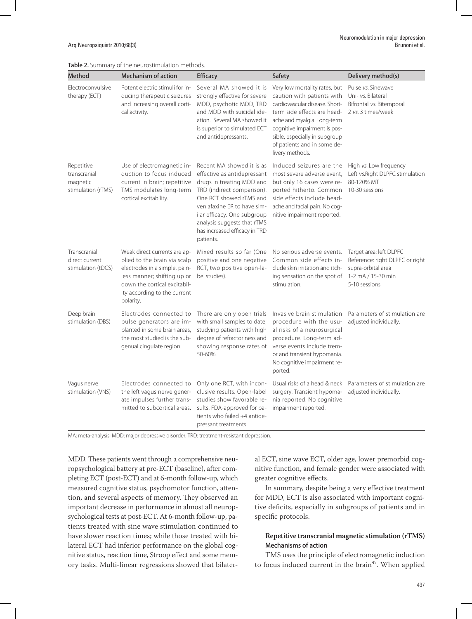| <b>Method</b>                                                | <b>Mechanism of action</b>                                                                                                                                                                                | <b>Efficacy</b>                                                                                                                                                                                                                                                                           | Safety                                                                                                                                                                                                                                                                         | Delivery method(s)                                                                                                      |
|--------------------------------------------------------------|-----------------------------------------------------------------------------------------------------------------------------------------------------------------------------------------------------------|-------------------------------------------------------------------------------------------------------------------------------------------------------------------------------------------------------------------------------------------------------------------------------------------|--------------------------------------------------------------------------------------------------------------------------------------------------------------------------------------------------------------------------------------------------------------------------------|-------------------------------------------------------------------------------------------------------------------------|
| Electroconvulsive<br>therapy (ECT)                           | Potent electric stimuli for in-<br>ducing therapeutic seizures<br>and increasing overall corti-<br>cal activity.                                                                                          | Several MA showed it is<br>strongly effective for severe<br>MDD, psychotic MDD, TRD<br>and MDD with suicidal ide-<br>ation. Several MA showed it<br>is superior to simulated ECT<br>and antidepressants.                                                                                  | Very low mortality rates, but<br>caution with patients with<br>cardiovascular disease. Short-<br>term side effects are head-<br>ache and myalgia. Long-term<br>cognitive impairment is pos-<br>sible, especially in subgroup<br>of patients and in some de-<br>livery methods. | Pulse vs. Sinewave<br>Uni- vs. Bilateral<br>Bifrontal vs. Bitemporal<br>2 vs. 3 times/week                              |
| Repetitive<br>transcranial<br>magnetic<br>stimulation (rTMS) | Use of electromagnetic in-<br>duction to focus induced<br>current in brain; repetitive<br>TMS modulates long-term<br>cortical excitability.                                                               | Recent MA showed it is as<br>effective as antidepressant<br>drugs in treating MDD and<br>TRD (indirect comparison).<br>One RCT showed rTMS and<br>venlafaxine ER to have sim-<br>ilar efficacy. One subgroup<br>analysis suggests that rTMS<br>has increased efficacy in TRD<br>patients. | Induced seizures are the<br>most severe adverse event,<br>but only 16 cases were re-<br>ported hitherto. Common<br>side effects include head-<br>ache and facial pain. No cog-<br>nitive impairment reported.                                                                  | High vs. Low frequency<br>Left vs. Right DLPFC stimulation<br>80-120% MT<br>10-30 sessions                              |
| Transcranial<br>direct current<br>stimulation (tDCS)         | Weak direct currents are ap-<br>plied to the brain via scalp<br>electrodes in a simple, pain-<br>less manner; shifting up or<br>down the cortical excitabil-<br>ity according to the current<br>polarity. | Mixed results so far (One<br>positive and one negative<br>RCT, two positive open-la-<br>bel studies).                                                                                                                                                                                     | No serious adverse events.<br>Common side effects in-<br>clude skin irritation and itch-<br>ing sensation on the spot of<br>stimulation.                                                                                                                                       | Target area: left DLPFC<br>Reference: right DLPFC or right<br>supra-orbital area<br>1-2 mA / 15-30 min<br>5-10 sessions |
| Deep brain<br>stimulation (DBS)                              | Electrodes connected to<br>pulse generators are im-<br>planted in some brain areas,<br>the most studied is the sub-<br>genual cingulate region.                                                           | There are only open trials<br>with small samples to date,<br>studying patients with high<br>degree of refractoriness and<br>showing response rates of<br>50-60%.                                                                                                                          | Invasive brain stimulation<br>procedure with the usu-<br>al risks of a neurosurgical<br>procedure. Long-term ad-<br>verse events include trem-<br>or and transient hypomania.<br>No cognitive impairment re-<br>ported.                                                        | Parameters of stimulation are<br>adjusted individually.                                                                 |
| Vagus nerve<br>stimulation (VNS)                             | Electrodes connected to<br>the left vagus nerve gener-<br>ate impulses further trans-<br>mitted to subcortical areas.                                                                                     | Only one RCT, with incon-<br>clusive results. Open-label<br>studies show favorable re-<br>sults. FDA-approved for pa-<br>tients who failed +4 antide-<br>pressant treatments.                                                                                                             | Usual risks of a head & neck<br>surgery. Transient hypoma-<br>nia reported. No cognitive<br>impairment reported.                                                                                                                                                               | Parameters of stimulation are<br>adjusted individually.                                                                 |

MA: meta-analysis; MDD: major depressive disorder; TRD: treatment-resistant depression.

MDD. These patients went through a comprehensive neuropsychological battery at pre-ECT (baseline), after completing ECT (post-ECT) and at 6-month follow-up, which measured cognitive status, psychomotor function, attention, and several aspects of memory. They observed an important decrease in performance in almost all neuropsychological tests at post-ECT. At 6-month follow-up, patients treated with sine wave stimulation continued to have slower reaction times; while those treated with bilateral ECT had inferior performance on the global cognitive status, reaction time, Stroop effect and some memory tasks. Multi-linear regressions showed that bilateral ECT, sine wave ECT, older age, lower premorbid cognitive function, and female gender were associated with greater cognitive effects.

In summary, despite being a very effective treatment for MDD, ECT is also associated with important cognitive deficits, especially in subgroups of patients and in specific protocols.

# **Repetitive transcranial magnetic stimulation (rTMS)** Mechanisms of action

TMS uses the principle of electromagnetic induction to focus induced current in the brain<sup>49</sup>. When applied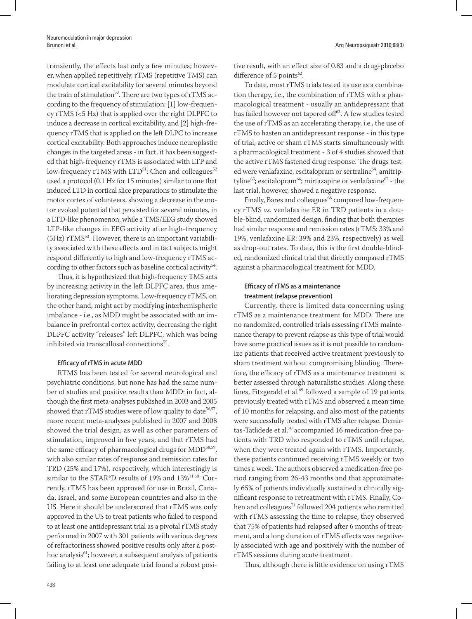transiently, the effects last only a few minutes; however, when applied repetitively, rTMS (repetitive TMS) can modulate cortical excitability for several minutes beyond the train of stimulation<sup>50</sup>. There are two types of rTMS according to the frequency of stimulation: [1] low-frequency rTMS (<5 Hz) that is applied over the right DLPFC to induce a decrease in cortical excitability, and [2] high-frequency rTMS that is applied on the left DLPC to increase cortical excitability. Both approaches induce neuroplastic changes in the targeted areas - in fact, it has been suggested that high-frequency rTMS is associated with LTP and low-frequency rTMS with  $LTD^{51}$ : Chen and colleagues<sup>52</sup> used a protocol (0.1 Hz for 15 minutes) similar to one that induced LTD in cortical slice preparations to stimulate the motor cortex of volunteers, showing a decrease in the motor evoked potential that persisted for several minutes, in a LTD-like phenomenon; while a TMS/EEG study showed LTP-like changes in EEG activity after high-frequency (5Hz) rTMS<sup>53</sup>. However, there is an important variability associated with these effects and in fact subjects might respond differently to high and low-frequency rTMS according to other factors such as baseline cortical activity $54$ .

Thus, it is hypothesized that high-frequency TMS acts by increasing activity in the left DLPFC area, thus ameliorating depression symptoms. Low-frequency rTMS, on the other hand, might act by modifying interhemispheric imbalance - i.e., as MDD might be associated with an imbalance in prefrontal cortex activity, decreasing the right DLPFC activity "releases" left DLPFC, which was being inhibited via transcallosal connections<sup>55</sup>.

#### Efficacy of rTMS in acute MDD

RTMS has been tested for several neurological and psychiatric conditions, but none has had the same number of studies and positive results than MDD: in fact, although the first meta-analyses published in 2003 and 2005 showed that rTMS studies were of low quality to date<sup>56,57</sup>, more recent meta-analyses published in 2007 and 2008 showed the trial design, as well as other parameters of stimulation, improved in five years, and that rTMS had the same efficacy of pharmacological drugs for MDD<sup>58,59</sup>, with also similar rates of response and remission rates for TRD (25% and 17%), respectively, which interestingly is similar to the STAR\*D results of 19% and 13%<sup>11,60</sup>. Currently, rTMS has been approved for use in Brazil, Canada, Israel, and some European countries and also in the US. Here it should be underscored that rTMS was only approved in the US to treat patients who failed to respond to at least one antidepressant trial as a pivotal rTMS study performed in 2007 with 301 patients with various degrees of refractoriness showed positive results only after a posthoc analysis<sup>61</sup>; however, a subsequent analysis of patients failing to at least one adequate trial found a robust positive result, with an effect size of 0.83 and a drug-placebo difference of 5 points $62$ .

To date, most rTMS trials tested its use as a combination therapy, i.e., the combination of rTMS with a pharmacological treatment - usually an antidepressant that has failed however not tapered off<sup>63</sup>. A few studies tested the use of rTMS as an accelerating therapy, i.e., the use of rTMS to hasten an antidepressant response - in this type of trial, active or sham rTMS starts simultaneously with a pharmacological treatment - 3 of 4 studies showed that the active rTMS fastened drug response. The drugs tested were venlafaxine, escitalopram or sertraline<sup>64</sup>; amitriptyline<sup>65</sup>; escitalopram<sup>66</sup>; mirtazapine or venlafaxine<sup>67</sup> - the last trial, however, showed a negative response.

Finally, Bares and colleagues<sup>68</sup> compared low-frequency rTMS *vs.* venlafaxine ER in TRD patients in a double-blind, randomized design, finding that both therapies had similar response and remission rates (rTMS: 33% and 19%, venlafaxine ER: 39% and 23%, respectively) as well as drop-out rates. To date, this is the first double-blinded, randomized clinical trial that directly compared rTMS against a pharmacological treatment for MDD.

# Efficacy of rTMS as a maintenance treatment (relapse prevention)

Currently, there is limited data concerning using rTMS as a maintenance treatment for MDD. There are no randomized, controlled trials assessing rTMS maintenance therapy to prevent relapse as this type of trial would have some practical issues as it is not possible to randomize patients that received active treatment previously to sham treatment without compromising blinding. Therefore, the efficacy of rTMS as a maintenance treatment is better assessed through naturalistic studies. Along these lines, Fitzgerald et al.<sup>69</sup> followed a sample of 19 patients previously treated with rTMS and observed a mean time of 10 months for relapsing, and also most of the patients were successfully treated with rTMS after relapse. Demirtas-Tatlidede et al.70 accompanied 16 medication-free patients with TRD who responded to rTMS until relapse, when they were treated again with rTMS. Importantly, these patients continued receiving rTMS weekly or two times a week. The authors observed a medication-free period ranging from 26-43 months and that approximately 65% of patients individually sustained a clinically significant response to retreatment with rTMS. Finally, Cohen and colleagues<sup>71</sup> followed 204 patients who remitted with rTMS assessing the time to relapse; they observed that 75% of patients had relapsed after 6 months of treatment, and a long duration of rTMS effects was negatively associated with age and positively with the number of rTMS sessions during acute treatment.

Thus, although there is little evidence on using rTMS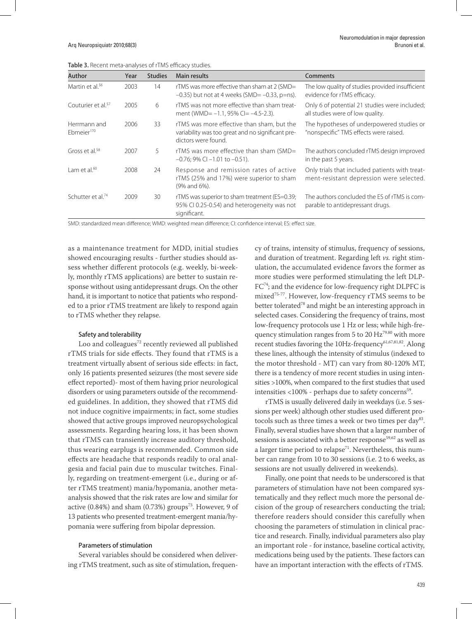Table 3. Recent meta-analyses of rTMS efficacy studies.

| Author                                 | Year | <b>Studies</b> | <b>Main results</b>                                                                                                    | <b>Comments</b>                                                                            |
|----------------------------------------|------|----------------|------------------------------------------------------------------------------------------------------------------------|--------------------------------------------------------------------------------------------|
| Martin et al. <sup>56</sup>            | 2003 | 14             | rTMS was more effective than sham at 2 (SMD=<br>$-0.35$ ) but not at 4 weeks (SMD= $-0.33$ , p=ns).                    | The low quality of studies provided insufficient<br>evidence for rTMS efficacy.            |
| Couturier et al. <sup>57</sup>         | 2005 | 6              | rTMS was not more effective than sham treat-<br>ment (WMD= $-1.1$ , 95% CI= $-4.5-2.3$ ).                              | Only 6 of potential 21 studies were included;<br>all studies were of low quality.          |
| Herrmann and<br>Ebmeier <sup>170</sup> | 2006 | 33             | rTMS was more effective than sham, but the<br>variability was too great and no significant pre-<br>dictors were found. | The hypotheses of underpowered studies or<br>"nonspecific" TMS effects were raised.        |
| Gross et al. <sup>58</sup>             | 2007 | 5              | rTMS was more effective than sham (SMD $=$<br>$-0.76$ ; 9% CI $-1.01$ to $-0.51$ ).                                    | The authors concluded rTMS design improved<br>in the past 5 years.                         |
| Lam et al. $60$                        | 2008 | 24             | Response and remission rates of active<br>rTMS (25% and 17%) were superior to sham<br>(9% and 6%).                     | Only trials that included patients with treat-<br>ment-resistant depression were selected. |
| Schutter et al. <sup>74</sup>          | 2009 | 30             | rTMS was superior to sham treatment (ES=0.39;<br>95% CI 0.25-0.54) and heterogeneity was not<br>significant.           | The authors concluded the ES of rTMS is com-<br>parable to antidepressant drugs.           |

SMD: standardized mean difference; WMD: weighted mean difference; CI: confidence interval; ES: effect size.

as a maintenance treatment for MDD, initial studies showed encouraging results - further studies should assess whether different protocols (e.g. weekly, bi-weekly, monthly rTMS applications) are better to sustain response without using antidepressant drugs. On the other hand, it is important to notice that patients who responded to a prior rTMS treatment are likely to respond again to rTMS whether they relapse.

#### Safety and tolerability

Loo and colleagues $^{72}$  recently reviewed all published rTMS trials for side effects. They found that rTMS is a treatment virtually absent of serious side effects: in fact, only 16 patients presented seizures (the most severe side effect reported)- most of them having prior neurological disorders or using parameters outside of the recommended guidelines. In addition, they showed that rTMS did not induce cognitive impairments; in fact, some studies showed that active groups improved neuropsychological assessments. Regarding hearing loss, it has been shown that rTMS can transiently increase auditory threshold, thus wearing earplugs is recommended. Common side effects are headache that responds readily to oral analgesia and facial pain due to muscular twitches. Finally, regarding on treatment-emergent (i.e., during or after rTMS treatment) mania/hypomania, another metaanalysis showed that the risk rates are low and similar for active  $(0.84%)$  and sham  $(0.73%)$  groups<sup>73</sup>. However, 9 of 13 patients who presented treatment-emergent mania/hypomania were suffering from bipolar depression.

#### Parameters of stimulation

Several variables should be considered when delivering rTMS treatment, such as site of stimulation, frequency of trains, intensity of stimulus, frequency of sessions, and duration of treatment. Regarding left *vs.* right stimulation, the accumulated evidence favors the former as more studies were performed stimulating the left DLP-FC<sup>74</sup>; and the evidence for low-frequency right DLPFC is mixed<sup>75-77</sup>. However, low-frequency rTMS seems to be better tolerated<sup>78</sup> and might be an interesting approach in selected cases. Considering the frequency of trains, most low-frequency protocols use 1 Hz or less; while high-frequency stimulation ranges from 5 to 20 Hz<sup>79.80</sup> with more recent studies favoring the 10Hz-frequency<sup>61,67,81,82</sup>. Along these lines, although the intensity of stimulus (indexed to the motor threshold - MT) can vary from 80-120% MT, there is a tendency of more recent studies in using intensities >100%, when compared to the first studies that used intensities  $<$ 100% - perhaps due to safety concerns<sup>59</sup>.

rTMS is usually delivered daily in weekdays (i.e. 5 sessions per week) although other studies used different protocols such as three times a week or two times per day<sup>83</sup>. Finally, several studies have shown that a larger number of sessions is associated with a better response<sup>59,62</sup> as well as a larger time period to relapse<sup>71</sup>. Nevertheless, this number can range from 10 to 30 sessions (i.e. 2 to 6 weeks, as sessions are not usually delivered in weekends).

Finally, one point that needs to be underscored is that parameters of stimulation have not been compared systematically and they reflect much more the personal decision of the group of researchers conducting the trial; therefore readers should consider this carefully when choosing the parameters of stimulation in clinical practice and research. Finally, individual parameters also play an important role - for instance, baseline cortical activity, medications being used by the patients. These factors can have an important interaction with the effects of rTMS.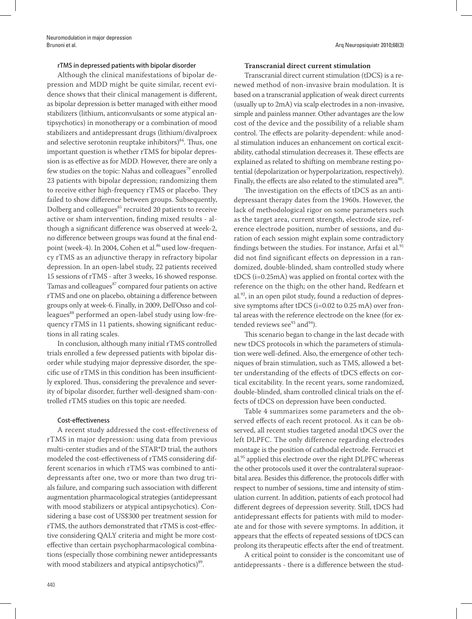#### rTMS in depressed patients with bipolar disorder

Although the clinical manifestations of bipolar depression and MDD might be quite similar, recent evidence shows that their clinical management is different, as bipolar depression is better managed with either mood stabilizers (lithium, anticonvulsants or some atypical antipsychotics) in monotherapy or a combination of mood stabilizers and antidepressant drugs (lithium/divalproex and selective serotonin reuptake inhibitors) $84$ . Thus, one important question is whether rTMS for bipolar depression is as effective as for MDD. However, there are only a few studies on the topic: Nahas and colleagues<sup>79</sup> enrolled 23 patients with bipolar depression; randomizing them to receive either high-frequency rTMS or placebo. They failed to show difference between groups. Subsequently, Dolberg and colleagues<sup>85</sup> recruited 20 patients to receive active or sham intervention, finding mixed results - although a significant difference was observed at week-2, no difference between groups was found at the final endpoint (week-4). In 2004, Cohen et al.<sup>86</sup> used low-frequency rTMS as an adjunctive therapy in refractory bipolar depression. In an open-label study, 22 patients received 15 sessions of rTMS - after 3 weeks, 16 showed response. Tamas and colleagues<sup>87</sup> compared four patients on active rTMS and one on placebo, obtaining a difference between groups only at week-6. Finally, in 2009, Dell'Osso and colleagues<sup>88</sup> performed an open-label study using low-frequency rTMS in 11 patients, showing significant reductions in all rating scales.

In conclusion, although many initial rTMS controlled trials enrolled a few depressed patients with bipolar disorder while studying major depressive disorder, the specific use of rTMS in this condition has been insufficiently explored. Thus, considering the prevalence and severity of bipolar disorder, further well-designed sham-controlled rTMS studies on this topic are needed.

#### Cost-effectiveness

A recent study addressed the cost-effectiveness of rTMS in major depression: using data from previous multi-center studies and of the STAR\*D trial, the authors modeled the cost-effectiveness of rTMS considering different scenarios in which rTMS was combined to antidepressants after one, two or more than two drug trials failure, and comparing such association with different augmentation pharmacological strategies (antidepressant with mood stabilizers or atypical antipsychotics). Considering a base cost of US\$300 per treatment session for rTMS, the authors demonstrated that rTMS is cost-effective considering QALY criteria and might be more costeffective than certain psychopharmacological combinations (especially those combining newer antidepressants with mood stabilizers and atypical antipsychotics)<sup>89</sup>.

Transcranial direct current stimulation (tDCS) is a renewed method of non-invasive brain modulation. It is based on a transcranial application of weak direct currents (usually up to 2mA) via scalp electrodes in a non-invasive, simple and painless manner. Other advantages are the low cost of the device and the possibility of a reliable sham control. The effects are polarity-dependent: while anodal stimulation induces an enhancement on cortical excitability, cathodal stimulation decreases it. These effects are explained as related to shifting on membrane resting potential (depolarization or hyperpolarization, respectively). Finally, the effects are also related to the stimulated area<sup>90</sup>.

The investigation on the effects of tDCS as an antidepressant therapy dates from the 1960s. However, the lack of methodological rigor on some parameters such as the target area, current strength, electrode size, reference electrode position, number of sessions, and duration of each session might explain some contradictory findings between the studies. For instance, Arfai et al. $91$ did not find significant effects on depression in a randomized, double-blinded, sham controlled study where tDCS (i=0.25mA) was applied on frontal cortex with the reference on the thigh; on the other hand, Redfearn et  $al.<sup>92</sup>$ , in an open pilot study, found a reduction of depressive symptoms after tDCS (i=0.02 to 0.25 mA) over frontal areas with the reference electrode on the knee (for extended reviews see<sup>93</sup> and<sup>94</sup>).

This scenario began to change in the last decade with new tDCS protocols in which the parameters of stimulation were well-defined. Also, the emergence of other techniques of brain stimulation, such as TMS, allowed a better understanding of the effects of tDCS effects on cortical excitability. In the recent years, some randomized, double-blinded, sham controlled clinical trials on the effects of tDCS on depression have been conducted.

Table 4 summarizes some parameters and the observed effects of each recent protocol. As it can be observed, all recent studies targeted anodal tDCS over the left DLPFC. The only difference regarding electrodes montage is the position of cathodal electrode. Ferrucci et al.<sup>95</sup> applied this electrode over the right DLPFC whereas the other protocols used it over the contralateral supraorbital area. Besides this difference, the protocols differ with respect to number of sessions, time and intensity of stimulation current. In addition, patients of each protocol had different degrees of depression severity. Still, tDCS had antidepressant effects for patients with mild to moderate and for those with severe symptoms. In addition, it appears that the effects of repeated sessions of tDCS can prolong its therapeutic effects after the end of treatment.

A critical point to consider is the concomitant use of antidepressants - there is a difference between the stud-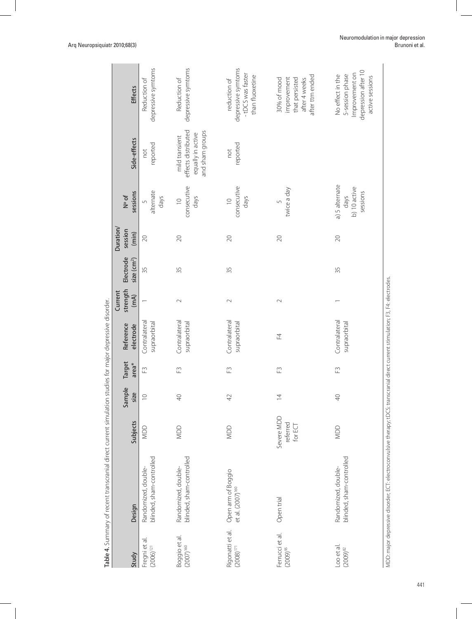|                                    | Table 4. Summary of recent transcranial direct current simulation studies for major depressive disorder.                           |                                   |                |                        |                               |                             |                                      |                               |                                                    |                                                                               |                                                                                                 |
|------------------------------------|------------------------------------------------------------------------------------------------------------------------------------|-----------------------------------|----------------|------------------------|-------------------------------|-----------------------------|--------------------------------------|-------------------------------|----------------------------------------------------|-------------------------------------------------------------------------------|-------------------------------------------------------------------------------------------------|
| Study                              | Design                                                                                                                             | Subjects                          | Sample<br>size | Target<br>area*        | Reference<br>electrode        | strength<br>Current<br>(mA) | Electrode<br>size (cm <sup>2</sup> ) | Duration/<br>session<br>(min) | sessions<br>N° of                                  | Side-effects                                                                  | <b>Effects</b>                                                                                  |
| Fregni et al.<br>$(2006)^{121}$    | blinded, sham-controlled<br>Randomized, double-                                                                                    | NDD                               | $\supseteq$    | $\mathbb{E}^2$         | Contralateral<br>supraorbital |                             | 35                                   | 20                            | alternate<br>days<br>$\sqrt{2}$                    | reported<br>not                                                               | depressive symtoms<br>Reduction of                                                              |
| Boggio et al.<br>$(2007)^{160}$    | blinded, sham-controlled<br>Randomized, double-                                                                                    | NDD                               | $\overline{a}$ | $\widehat{F}$          | Contralateral<br>supraorbital | $\sim$                      | 35                                   | 20                            | consecutive<br>days<br>$\supseteq$                 | effects distributed<br>and sham groups<br>equally in active<br>mild transient | depressive symtoms<br>Reduction of                                                              |
| Rigonatti et al.<br>$(2008)^{171}$ | Open arm of Boggio<br>et al. (2007) <sup>160</sup>                                                                                 | NDD                               | $42$           | $\widehat{\mathbb{H}}$ | Contralateral<br>supraorbital | $\sim$                      | 35                                   | 20                            | consecutive<br>days<br>$\supseteq$                 | reported<br>not                                                               | depressive symtoms<br>-tDCS was faster<br>than fluoxetine<br>reduction of                       |
| Ferrucci et al.<br>$(2009)^{95}$   | Open trial                                                                                                                         | Severe MDD<br>referred<br>for ECT | $\overline{4}$ | $\widehat{\mathbb{H}}$ | 군                             | $\sim$                      |                                      | 20                            | twice a day<br>$\overline{5}$                      |                                                                               | after ttm ended<br>improvement<br>that persisted<br>30% of mood<br>after 4 weeks                |
| Loo et al.<br>$(2009)^{82}$        | blinded, sham-controlled<br>Randomized, double-                                                                                    | NDD                               | $\overline{a}$ | $\widehat{\mathbb{E}}$ | Contralateral<br>supraorbital |                             | 35                                   | 20                            | a) 5 alternate<br>b) 10 active<br>sessions<br>days |                                                                               | depression after 10<br>Improvement on<br>5-session phase<br>No effect in the<br>active sessions |
|                                    | MDD: major depressive disorder; ECT: electroconvulsive therapy; tDCS: transcranial direct current stimulation; F3, F4: electrodes. |                                   |                |                        |                               |                             |                                      |                               |                                                    |                                                                               |                                                                                                 |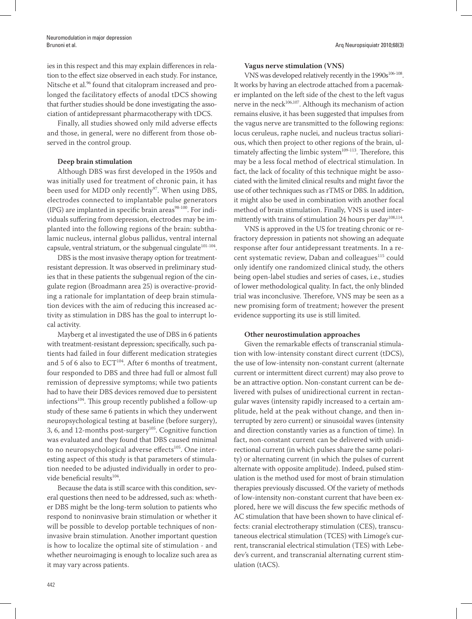ies in this respect and this may explain differences in relation to the effect size observed in each study. For instance, Nitsche et al.<sup>96</sup> found that citalopram increased and prolonged the facilitatory effects of anodal tDCS showing that further studies should be done investigating the association of antidepressant pharmacotherapy with tDCS.

Finally, all studies showed only mild adverse effects and those, in general, were no different from those observed in the control group.

#### **Deep brain stimulation**

Although DBS was first developed in the 1950s and was initially used for treatment of chronic pain, it has been used for MDD only recently<sup>97</sup>. When using DBS, electrodes connected to implantable pulse generators (IPG) are implanted in specific brain areas $98-100$ . For individuals suffering from depression, electrodes may be implanted into the following regions of the brain: subthalamic nucleus, internal globus pallidus, ventral internal capsule, ventral striatum, or the subgenual cingulate $101-104$ .

DBS is the most invasive therapy option for treatmentresistant depression. It was observed in preliminary studies that in these patients the subgenual region of the cingulate region (Broadmann area 25) is overactive-providing a rationale for implantation of deep brain stimulation devices with the aim of reducing this increased activity as stimulation in DBS has the goal to interrupt local activity.

Mayberg et al investigated the use of DBS in 6 patients with treatment-resistant depression; specifically, such patients had failed in four different medication strategies and 5 of 6 also to  $ECT^{104}$ . After 6 months of treatment, four responded to DBS and three had full or almost full remission of depressive symptoms; while two patients had to have their DBS devices removed due to persistent infections<sup>104</sup>. This group recently published a follow-up study of these same 6 patients in which they underwent neuropsychological testing at baseline (before surgery), 3, 6, and 12-months post-surgery<sup>105</sup>. Cognitive function was evaluated and they found that DBS caused minimal to no neuropsychological adverse effects<sup>105</sup>. One interesting aspect of this study is that parameters of stimulation needed to be adjusted individually in order to provide beneficial results<sup>104</sup>.

Because the data is still scarce with this condition, several questions then need to be addressed, such as: whether DBS might be the long-term solution to patients who respond to noninvasive brain stimulation or whether it will be possible to develop portable techniques of noninvasive brain stimulation. Another important question is how to localize the optimal site of stimulation - and whether neuroimaging is enough to localize such area as it may vary across patients.

#### **Vagus nerve stimulation (VNS)**

VNS was developed relatively recently in the 1990s<sup>106-108</sup>. It works by having an electrode attached from a pacemaker implanted on the left side of the chest to the left vagus nerve in the neck $106,107$ . Although its mechanism of action remains elusive, it has been suggested that impulses from the vagus nerve are transmitted to the following regions: locus ceruleus, raphe nuclei, and nucleus tractus soliarious, which then project to other regions of the brain, ultimately affecting the limbic system $109-113$ . Therefore, this may be a less focal method of electrical stimulation. In fact, the lack of focality of this technique might be associated with the limited clinical results and might favor the use of other techniques such as rTMS or DBS. In addition, it might also be used in combination with another focal method of brain stimulation. Finally, VNS is used intermittently with trains of stimulation 24 hours per day<sup>108,114</sup>.

VNS is approved in the US for treating chronic or refractory depression in patients not showing an adequate response after four antidepressant treatments. In a recent systematic review, Daban and colleagues<sup>115</sup> could only identify one randomized clinical study, the others being open-label studies and series of cases, i.e., studies of lower methodological quality. In fact, the only blinded trial was inconclusive. Therefore, VNS may be seen as a new promising form of treatment; however the present evidence supporting its use is still limited.

### **Other neurostimulation approaches**

Given the remarkable effects of transcranial stimulation with low-intensity constant direct current (tDCS), the use of low-intensity non-constant current (alternate current or intermittent direct current) may also prove to be an attractive option. Non-constant current can be delivered with pulses of unidirectional current in rectangular waves (intensity rapidly increased to a certain amplitude, held at the peak without change, and then interrupted by zero current) or sinusoidal waves (intensity and direction constantly varies as a function of time). In fact, non-constant current can be delivered with unidirectional current (in which pulses share the same polarity) or alternating current (in which the pulses of current alternate with opposite amplitude). Indeed, pulsed stimulation is the method used for most of brain stimulation therapies previously discussed. Of the variety of methods of low-intensity non-constant current that have been explored, here we will discuss the few specific methods of AC stimulation that have been shown to have clinical effects: cranial electrotherapy stimulation (CES), transcutaneous electrical stimulation (TCES) with Limoge's current, transcranial electrical stimulation (TES) with Lebedev's current, and transcranial alternating current stimulation (tACS).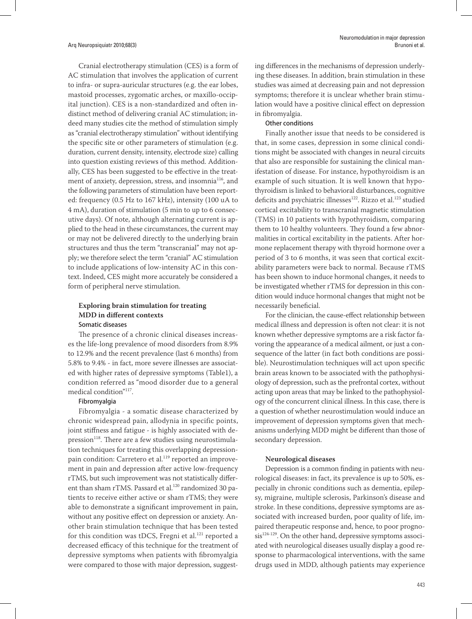Cranial electrotherapy stimulation (CES) is a form of AC stimulation that involves the application of current to infra- or supra-auricular structures (e.g. the ear lobes, mastoid processes, zygomatic arches, or maxillo-occipital junction). CES is a non-standardized and often indistinct method of delivering cranial AC stimulation; indeed many studies cite the method of stimulation simply as "cranial electrotherapy stimulation" without identifying the specific site or other parameters of stimulation (e.g. duration, current density, intensity, electrode size) calling into question existing reviews of this method. Additionally, CES has been suggested to be effective in the treatment of anxiety, depression, stress, and insomnia<sup>116</sup>, and the following parameters of stimulation have been reported: frequency (0.5 Hz to 167 kHz), intensity (100 uA to 4 mA), duration of stimulation (5 min to up to 6 consecutive days). Of note, although alternating current is applied to the head in these circumstances, the current may or may not be delivered directly to the underlying brain structures and thus the term "transcranial" may not apply; we therefore select the term "cranial" AC stimulation to include applications of low-intensity AC in this context. Indeed, CES might more accurately be considered a form of peripheral nerve stimulation.

# **Exploring brain stimulation for treating MDD in different contexts** Somatic diseases

The presence of a chronic clinical diseases increases the life-long prevalence of mood disorders from 8.9% to 12.9% and the recent prevalence (last 6 months) from 5.8% to 9.4% - in fact, more severe illnesses are associated with higher rates of depressive symptoms (Table1), a condition referred as "mood disorder due to a general medical condition"117.

#### **Fibromvalgia**

Fibromyalgia - a somatic disease characterized by chronic widespread pain, allodynia in specific points, joint stiffness and fatigue - is highly associated with depression<sup>118</sup>. There are a few studies using neurostimulation techniques for treating this overlapping depressionpain condition: Carretero et al.<sup>119</sup> reported an improvement in pain and depression after active low-frequency rTMS, but such improvement was not statistically different than sham rTMS. Passard et al.<sup>120</sup> randomized 30 patients to receive either active or sham rTMS; they were able to demonstrate a significant improvement in pain, without any positive effect on depression or anxiety. Another brain stimulation technique that has been tested for this condition was tDCS, Fregni et al.<sup>121</sup> reported a decreased efficacy of this technique for the treatment of depressive symptoms when patients with fibromyalgia were compared to those with major depression, suggesting differences in the mechanisms of depression underlying these diseases. In addition, brain stimulation in these studies was aimed at decreasing pain and not depression symptoms; therefore it is unclear whether brain stimulation would have a positive clinical effect on depression in fibromyalgia.

# Other conditions

Finally another issue that needs to be considered is that, in some cases, depression in some clinical conditions might be associated with changes in neural circuits that also are responsible for sustaining the clinical manifestation of disease. For instance, hypothyroidism is an example of such situation. It is well known that hypothyroidism is linked to behavioral disturbances, cognitive deficits and psychiatric illnesses<sup>122</sup>. Rizzo et al.<sup>123</sup> studied cortical excitability to transcranial magnetic stimulation (TMS) in 10 patients with hypothyroidism, comparing them to 10 healthy volunteers. They found a few abnormalities in cortical excitability in the patients. After hormone replacement therapy with thyroid hormone over a period of 3 to 6 months, it was seen that cortical excitability parameters were back to normal. Because rTMS has been shown to induce hormonal changes, it needs to be investigated whether rTMS for depression in this condition would induce hormonal changes that might not be necessarily beneficial.

For the clinician, the cause-effect relationship between medical illness and depression is often not clear: it is not known whether depressive symptoms are a risk factor favoring the appearance of a medical ailment, or just a consequence of the latter (in fact both conditions are possible). Neurostimulation techniques will act upon specific brain areas known to be associated with the pathophysiology of depression, such as the prefrontal cortex, without acting upon areas that may be linked to the pathophysiology of the concurrent clinical illness. In this case, there is a question of whether neurostimulation would induce an improvement of depression symptoms given that mechanisms underlying MDD might be different than those of secondary depression.

#### **Neurological diseases**

Depression is a common finding in patients with neurological diseases: in fact, its prevalence is up to 50%, especially in chronic conditions such as dementia, epilepsy, migraine, multiple sclerosis, Parkinson's disease and stroke. In these conditions, depressive symptoms are associated with increased burden, poor quality of life, impaired therapeutic response and, hence, to poor prognosis<sup>124-129</sup>. On the other hand, depressive symptoms associated with neurological diseases usually display a good response to pharmacological interventions, with the same drugs used in MDD, although patients may experience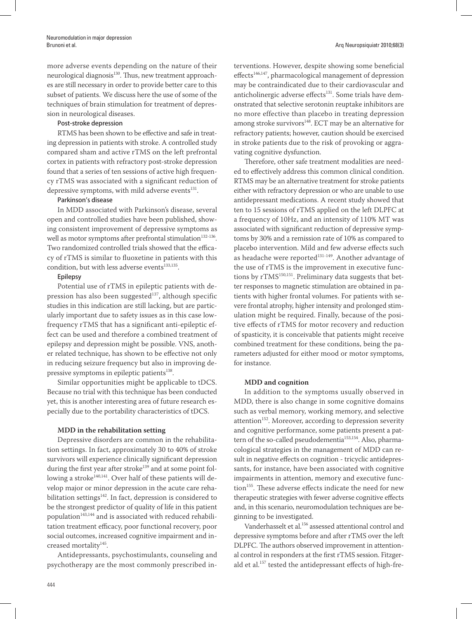more adverse events depending on the nature of their neurological diagnosis<sup>130</sup>. Thus, new treatment approaches are still necessary in order to provide better care to this subset of patients. We discuss here the use of some of the techniques of brain stimulation for treatment of depression in neurological diseases.

# Post-stroke depression

RTMS has been shown to be effective and safe in treating depression in patients with stroke. A controlled study compared sham and active rTMS on the left prefrontal cortex in patients with refractory post-stroke depression found that a series of ten sessions of active high frequency rTMS was associated with a significant reduction of depressive symptoms, with mild adverse events $^{131}$ .

## Parkinson's disease

In MDD associated with Parkinson's disease, several open and controlled studies have been published, showing consistent improvement of depressive symptoms as well as motor symptoms after prefrontal stimulation $132-136$ . Two randomized controlled trials showed that the efficacy of rTMS is similar to fluoxetine in patients with this condition, but with less adverse events<sup>133,135</sup>.

#### Epilepsy

Potential use of rTMS in epileptic patients with depression has also been suggested<sup>137</sup>, although specific studies in this indication are still lacking, but are particularly important due to safety issues as in this case lowfrequency rTMS that has a significant anti-epileptic effect can be used and therefore a combined treatment of epilepsy and depression might be possible. VNS, another related technique, has shown to be effective not only in reducing seizure frequency but also in improving depressive symptoms in epileptic patients<sup>138</sup>.

Similar opportunities might be applicable to tDCS. Because no trial with this technique has been conducted yet, this is another interesting area of future research especially due to the portability characteristics of tDCS.

### **MDD in the rehabilitation setting**

Depressive disorders are common in the rehabilitation settings. In fact, approximately 30 to 40% of stroke survivors will experience clinically significant depression during the first year after stroke<sup>139</sup> and at some point following a stroke<sup>140,141</sup>. Over half of these patients will develop major or minor depression in the acute care rehabilitation settings $142$ . In fact, depression is considered to be the strongest predictor of quality of life in this patient population<sup>143,144</sup> and is associated with reduced rehabilitation treatment efficacy, poor functional recovery, poor social outcomes, increased cognitive impairment and increased mortality<sup>145</sup>.

Antidepressants, psychostimulants, counseling and psychotherapy are the most commonly prescribed interventions. However, despite showing some beneficial effects<sup>146,147</sup>, pharmacological management of depression may be contraindicated due to their cardiovascular and anticholinergic adverse effects<sup>131</sup>. Some trials have demonstrated that selective serotonin reuptake inhibitors are no more effective than placebo in treating depression among stroke survivors $148$ . ECT may be an alternative for refractory patients; however, caution should be exercised in stroke patients due to the risk of provoking or aggravating cognitive dysfunction.

Therefore, other safe treatment modalities are needed to effectively address this common clinical condition. RTMS may be an alternative treatment for stroke patients either with refractory depression or who are unable to use antidepressant medications. A recent study showed that ten to 15 sessions of rTMS applied on the left DLPFC at a frequency of 10Hz, and an intensity of 110% MT was associated with significant reduction of depressive symptoms by 30% and a remission rate of 10% as compared to placebo intervention. Mild and few adverse effects such as headache were reported<sup>131-149</sup>. Another advantage of the use of rTMS is the improvement in executive functions by  $rTMS^{150,151}$ . Preliminary data suggests that better responses to magnetic stimulation are obtained in patients with higher frontal volumes. For patients with severe frontal atrophy, higher intensity and prolonged stimulation might be required. Finally, because of the positive effects of rTMS for motor recovery and reduction of spasticity, it is conceivable that patients might receive combined treatment for these conditions, being the parameters adjusted for either mood or motor symptoms, for instance.

### **MDD and cognition**

In addition to the symptoms usually observed in MDD, there is also change in some cognitive domains such as verbal memory, working memory, and selective attention<sup>152</sup>. Moreover, according to depression severity and cognitive performance, some patients present a pattern of the so-called pseudodementia<sup>153,154</sup>. Also, pharmacological strategies in the management of MDD can result in negative effects on cognition - tricyclic antidepressants, for instance, have been associated with cognitive impairments in attention, memory and executive function<sup>155</sup>. These adverse effects indicate the need for new therapeutic strategies with fewer adverse cognitive effects and, in this scenario, neuromodulation techniques are beginning to be investigated.

Vanderhasselt et al.<sup>156</sup> assessed attentional control and depressive symptoms before and after rTMS over the left DLPFC. The authors observed improvement in attentional control in responders at the first rTMS session. Fitzgerald et al.<sup>157</sup> tested the antidepressant effects of high-fre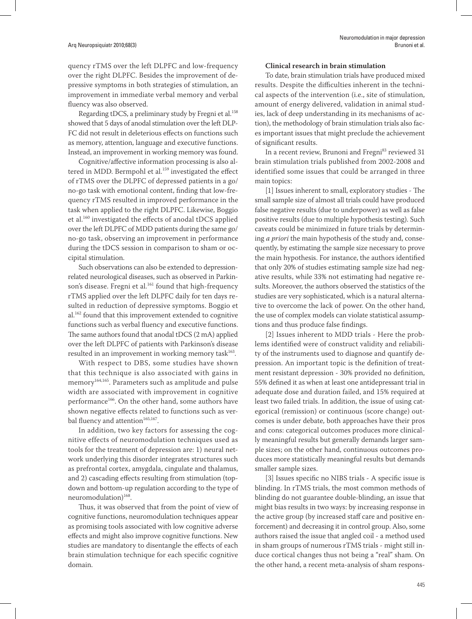quency rTMS over the left DLPFC and low-frequency over the right DLPFC. Besides the improvement of depressive symptoms in both strategies of stimulation, an improvement in immediate verbal memory and verbal fluency was also observed.

Regarding tDCS, a preliminary study by Fregni et al.<sup>158</sup> showed that 5 days of anodal stimulation over the left DLP-FC did not result in deleterious effects on functions such as memory, attention, language and executive functions. Instead, an improvement in working memory was found.

Cognitive/affective information processing is also altered in MDD. Bermpohl et al.<sup>159</sup> investigated the effect of rTMS over the DLPFC of depressed patients in a go/ no-go task with emotional content, finding that low-frequency rTMS resulted in improved performance in the task when applied to the right DLPFC. Likewise, Boggio et al.160 investigated the effects of anodal tDCS applied over the left DLPFC of MDD patients during the same go/ no-go task, observing an improvement in performance during the tDCS session in comparison to sham or occipital stimulation.

Such observations can also be extended to depressionrelated neurological diseases, such as observed in Parkinson's disease. Fregni et al.<sup>161</sup> found that high-frequency rTMS applied over the left DLPFC daily for ten days resulted in reduction of depressive symptoms. Boggio et al.162 found that this improvement extended to cognitive functions such as verbal fluency and executive functions. The same authors found that anodal tDCS (2 mA) applied over the left DLPFC of patients with Parkinson's disease resulted in an improvement in working memory task $163$ .

With respect to DBS, some studies have shown that this technique is also associated with gains in memory164,165. Parameters such as amplitude and pulse width are associated with improvement in cognitive performance<sup>166</sup>. On the other hand, some authors have shown negative effects related to functions such as verbal fluency and attention<sup>165,167</sup>.

In addition, two key factors for assessing the cognitive effects of neuromodulation techniques used as tools for the treatment of depression are: 1) neural network underlying this disorder integrates structures such as prefrontal cortex, amygdala, cingulate and thalamus, and 2) cascading effects resulting from stimulation (topdown and bottom-up regulation according to the type of  $neuronodulation$ <sup>168</sup>.

Thus, it was observed that from the point of view of cognitive functions, neuromodulation techniques appear as promising tools associated with low cognitive adverse effects and might also improve cognitive functions. New studies are mandatory to disentangle the effects of each brain stimulation technique for each specific cognitive domain.

### **Clinical research in brain stimulation**

To date, brain stimulation trials have produced mixed results. Despite the difficulties inherent in the technical aspects of the intervention (i.e., site of stimulation, amount of energy delivered, validation in animal studies, lack of deep understanding in its mechanisms of action), the methodology of brain stimulation trials also faces important issues that might preclude the achievement of significant results.

In a recent review, Brunoni and Fregni<sup>83</sup> reviewed 31 brain stimulation trials published from 2002-2008 and identified some issues that could be arranged in three main topics:

[1] Issues inherent to small, exploratory studies - The small sample size of almost all trials could have produced false negative results (due to underpower) as well as false positive results (due to multiple hypothesis testing). Such caveats could be minimized in future trials by determining *a priori* the main hypothesis of the study and, consequently, by estimating the sample size necessary to prove the main hypothesis. For instance, the authors identified that only 20% of studies estimating sample size had negative results, while 33% not estimating had negative results. Moreover, the authors observed the statistics of the studies are very sophisticated, which is a natural alternative to overcome the lack of power. On the other hand, the use of complex models can violate statistical assumptions and thus produce false findings.

[2] Issues inherent to MDD trials - Here the problems identified were of construct validity and reliability of the instruments used to diagnose and quantify depression. An important topic is the definition of treatment resistant depression - 30% provided no definition, 55% defined it as when at least one antidepressant trial in adequate dose and duration failed, and 15% required at least two failed trials. In addition, the issue of using categorical (remission) or continuous (score change) outcomes is under debate, both approaches have their pros and cons: categorical outcomes produces more clinically meaningful results but generally demands larger sample sizes; on the other hand, continuous outcomes produces more statistically meaningful results but demands smaller sample sizes.

[3] Issues specific no NIBS trials - A specific issue is blinding. In rTMS trials, the most common methods of blinding do not guarantee double-blinding, an issue that might bias results in two ways: by increasing response in the active group (by increased staff care and positive enforcement) and decreasing it in control group. Also, some authors raised the issue that angled coil - a method used in sham groups of numerous rTMS trials - might still induce cortical changes thus not being a "real" sham. On the other hand, a recent meta-analysis of sham respons-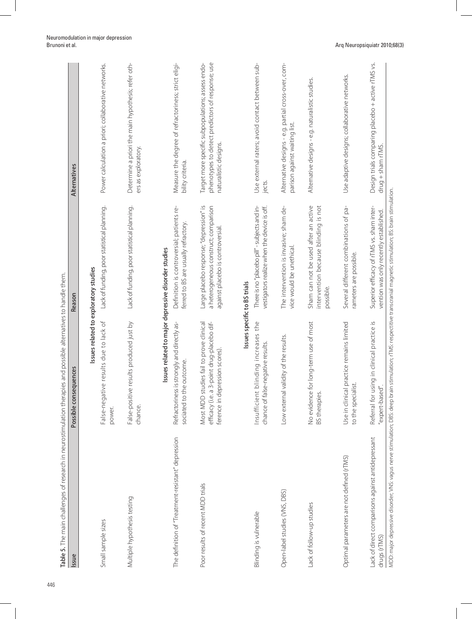| Table 5. The main challenges of research in neurostimulation therapies and possible alternatives to handle them.                                                        |                                                                                                                            |                                                                                                                       |                                                                                                                                |
|-------------------------------------------------------------------------------------------------------------------------------------------------------------------------|----------------------------------------------------------------------------------------------------------------------------|-----------------------------------------------------------------------------------------------------------------------|--------------------------------------------------------------------------------------------------------------------------------|
| Issue                                                                                                                                                                   | Possible consequences                                                                                                      | Reason                                                                                                                | Alternatives                                                                                                                   |
|                                                                                                                                                                         |                                                                                                                            | Issues related to exploratory studies                                                                                 |                                                                                                                                |
| Small sample sizes                                                                                                                                                      | False-negative results due to lack of<br>power.                                                                            | Lack of funding, poor statistical planning.                                                                           | Power calculation a priori; collaborative networks.                                                                            |
| Multiple hypothesis testing                                                                                                                                             | esults produced just by<br>False-positive<br>chance                                                                        | Lack of funding, poor statistical planning.                                                                           | Determine a priori the main hypothesis; refer oth-<br>ers as exploratory.                                                      |
|                                                                                                                                                                         |                                                                                                                            | Issues related to major depressive disorder studies                                                                   |                                                                                                                                |
| The definition of "Treatment-resistant" depression                                                                                                                      | Refractoriness is strongly and directly as-<br>outcome<br>sociated to the                                                  | Definition is controversial; patients re-<br>ferred to BS are usually refractory.                                     | Measure the degree of refractoriness; strict eligi-<br>bility criteria.                                                        |
| Poor results of recent MDD trials                                                                                                                                       | Most MDD studies fail to prove clinical<br>efficacy (i.e. a 3-point drug-placebo dif-<br>ession scores)<br>ference in depr | Large placebo response; "depression" is<br>a heterogeneous construct; comparison<br>against placebo is controversial. | phenotypes to detect predictors of response; use<br>Target more specific subpopulations; assess endo-<br>naturalistic designs. |
|                                                                                                                                                                         |                                                                                                                            | Issues specific to BS trials                                                                                          |                                                                                                                                |
| Blinding is vulnerable                                                                                                                                                  | Insufficient blinding increases the<br>chance of false-negative results.                                                   | There is no "placebo pill" - subjects and in-<br>vestigators realize when the device is off.                          | Use external raters; avoid contact between sub-<br>jects.                                                                      |
| Open-label studies (VNS, DBS)                                                                                                                                           | Low external validity of the results.                                                                                      | The intervention is invasive; sham de-<br>vice would be unethical                                                     | Alternative designs - e.g. partial cross-over, com-<br>parison against waiting list.                                           |
| Lack of follow-up studies                                                                                                                                               | No evidence for long-term use of most<br>BS therapies.                                                                     | intervention because blinding is not<br>Sham can not be used after an active<br>possible.                             | Alternative designs - e.g. naturalistic studies.                                                                               |
| Optimal parameters are not defined (rTMS)                                                                                                                               | practice remains limited<br>to the specialist.<br>Use in clinical                                                          | Several different combinations of pa-<br>rameters are possible.                                                       | Use adaptive designs; collaborative networks.                                                                                  |
| Lack of direct comparisons against antidepressant<br>drugs (rTMS)                                                                                                       | Referral for using in clinical practice is<br>"expert-based".                                                              | Superior efficacy of rTMS vs. sham inter-<br>vention was only recently established.                                   | Design trials comparing placebo + active rTMS vs.<br>drug + sham rTMS.                                                         |
| MDD: major depressive disorder; WNS: vagus nerve stimulation; DBS: deep brain stimulation; rTWS: respectitive transcranial magnetic stimulation; BS: brain stimulation. |                                                                                                                            |                                                                                                                       |                                                                                                                                |

Neuromodulation in major depression Brunoni et al.

Arq Neuropsiquiatr 2010;68(3)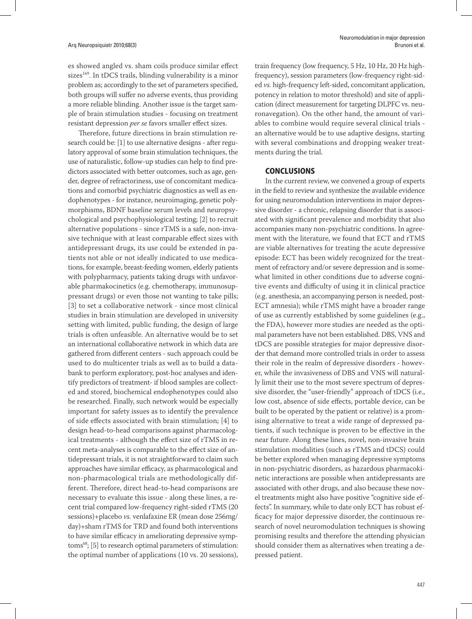es showed angled vs. sham coils produce similar effect sizes<sup>169</sup>. In tDCS trails, blinding vulnerability is a minor problem as; accordingly to the set of parameters specified, both groups will suffer no adverse events, thus providing a more reliable blinding. Another issue is the target sample of brain stimulation studies - focusing on treatment resistant depression *per se* favors smaller effect sizes.

Therefore, future directions in brain stimulation research could be: [1] to use alternative designs - after regulatory approval of some brain stimulation techniques, the use of naturalistic, follow-up studies can help to find predictors associated with better outcomes, such as age, gender, degree of refractoriness, use of concomitant medications and comorbid psychiatric diagnostics as well as endophenotypes - for instance, neuroimaging, genetic polymorphisms, BDNF baseline serum levels and neuropsychological and psychophysiological testing; [2] to recruit alternative populations - since rTMS is a safe, non-invasive technique with at least comparable effect sizes with antidepressant drugs, its use could be extended in patients not able or not ideally indicated to use medications, for example, breast-feeding women, elderly patients with polypharmacy, patients taking drugs with unfavorable pharmakocinetics (e.g. chemotherapy, immunosuppressant drugs) or even those not wanting to take pills; [3] to set a collaborative network - since most clinical studies in brain stimulation are developed in university setting with limited, public funding, the design of large trials is often unfeasible. An alternative would be to set an international collaborative network in which data are gathered from different centers - such approach could be used to do multicenter trials as well as to build a databank to perform exploratory, post-hoc analyses and identify predictors of treatment- if blood samples are collected and stored, biochemical endophenotypes could also be researched. Finally, such network would be especially important for safety issues as to identify the prevalence of side effects associated with brain stimulation; [4] to design head-to-head comparisons against pharmacological treatments - although the effect size of rTMS in recent meta-analyses is comparable to the effect size of antidepressant trials, it is not straightforward to claim such approaches have similar efficacy, as pharmacological and non-pharmacological trials are methodologically different. Therefore, direct head-to-head comparisons are necessary to evaluate this issue - along these lines, a recent trial compared low-frequency right-sided rTMS (20 sessions)+placebo *vs.* venlafaxine ER (mean dose 256mg/ day)+sham rTMS for TRD and found both interventions to have similar efficacy in ameliorating depressive symp $toms<sup>68</sup>$ ; [5] to research optimal parameters of stimulation: the optimal number of applications (10 vs. 20 sessions), train frequency (low frequency, 5 Hz, 10 Hz, 20 Hz highfrequency), session parameters (low-frequency right-sided *vs.* high-frequency left-sided, concomitant application, potency in relation to motor threshold) and site of application (direct measurement for targeting DLPFC vs. neuronavegation). On the other hand, the amount of variables to combine would require several clinical trials an alternative would be to use adaptive designs, starting with several combinations and dropping weaker treatments during the trial.

## **CONCLUSIONS**

In the current review, we convened a group of experts in the field to review and synthesize the available evidence for using neuromodulation interventions in major depressive disorder - a chronic, relapsing disorder that is associated with significant prevalence and morbidity that also accompanies many non-psychiatric conditions. In agreement with the literature, we found that ECT and rTMS are viable alternatives for treating the acute depressive episode: ECT has been widely recognized for the treatment of refractory and/or severe depression and is somewhat limited in other conditions due to adverse cognitive events and difficulty of using it in clinical practice (e.g. anesthesia, an accompanying person is needed, post-ECT amnesia); while rTMS might have a broader range of use as currently established by some guidelines (e.g., the FDA), however more studies are needed as the optimal parameters have not been established. DBS, VNS and tDCS are possible strategies for major depressive disorder that demand more controlled trials in order to assess their role in the realm of depressive disorders - however, while the invasiveness of DBS and VNS will naturally limit their use to the most severe spectrum of depressive disorder, the "user-friendly" approach of tDCS (i.e., low cost, absence of side effects, portable device, can be built to be operated by the patient or relative) is a promising alternative to treat a wide range of depressed patients, if such technique is proven to be effective in the near future. Along these lines, novel, non-invasive brain stimulation modalities (such as rTMS and tDCS) could be better explored when managing depressive symptoms in non-psychiatric disorders, as hazardous pharmacokinetic interactions are possible when antidepressants are associated with other drugs, and also because these novel treatments might also have positive "cognitive side effects". In summary, while to date only ECT has robust efficacy for major depressive disorder, the continuous research of novel neuromodulation techniques is showing promising results and therefore the attending physician should consider them as alternatives when treating a depressed patient.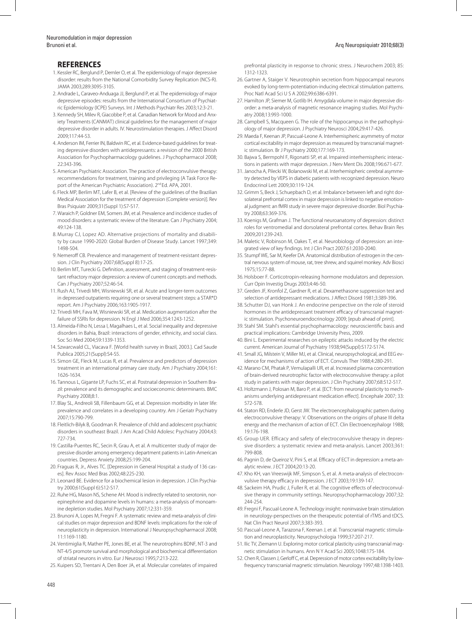#### **REFERENCES**

- 1. Kessler RC, Berglund P, Demler O, et al. The epidemiology of major depressive disorder: results from the National Comorbidity Survey Replication (NCS-R). JAMA 2003;289:3095-3105.
- 2. Andrade L, Caraveo-Anduaga JJ, Berglund P, et al. The epidemiology of major depressive episodes: results from the International Consortium of Psychiatric Epidemiology (ICPE) Surveys. Int J Methods Psychiatr Res 2003;12:3-21.
- 3. Kennedy SH, Milev R, Giacobbe P, et al. Canadian Network for Mood and Anxiety Treatments (CANMAT) clinical guidelines for the management of major depressive disorder in adults. IV. Neurostimulation therapies. J Affect Disord 2009;117:44-53.
- 4. Anderson IM, Ferrier IN, Baldwin RC, et al. Evidence-based guidelines for treating depressive disorders with antidepressants: a revision of the 2000 British Association for Psychopharmacology guidelines. J Psychopharmacol 2008; 22:343-396.
- 5. American Psychiatric Association. The practice of electroconvulsive therapy: recommendations for treatment, training and privileging (A Task Force Report of the American Psychiatric Association). 2<sup>nd</sup> Ed. APA, 2001.
- 6. Fleck MP, Berlim MT, Lafer B, et al. [Review of the guidelines of the Brazilian Medical Association for the treatment of depression (Complete version)]. Rev Bras Psiquiatr 2009;31(Suppl 1):S7-S17.
- 7. Waraich P, Goldner EM, Somers JM, et al. Prevalence and incidence studies of mood disorders: a systematic review of the literature. Can J Psychiatry 2004; 49:124-138.
- 8. Murray CJ, Lopez AD. Alternative projections of mortality and disability by cause 1990-2020: Global Burden of Disease Study. Lancet 1997;349: 1498-504.
- 9. Nemeroff CB. Prevalence and management of treatment-resistant depression. J Clin Psychiatry 2007;68(Suppl 8):17-25.
- 10. Berlim MT, Turecki G. Definition, assessment, and staging of treatment-resistant refractory major depression: a review of current concepts and methods. Can J Psychiatry 2007;52:46-54.
- 11. Rush AJ, Trivedi MH, Wisniewski SR, et al. Acute and longer-term outcomes in depressed outpatients requiring one or several treatment steps: a STAR\*D report. Am J Psychiatry 2006;163:1905-1917.
- 12. Trivedi MH, Fava M, Wisniewski SR, et al. Medication augmentation after the failure of SSRIs for depression. N Engl J Med 2006;354:1243-1252.
- 13. Almeida-Filho N, Lessa I, Magalhaes L, et al. Social inequality and depressive disorders in Bahia, Brazil: interactions of gender, ethnicity, and social class. Soc Sci Med 2004;59:1339-1353.
- 14. Szwarcwald CL, Viacava F. [World health survey in Brazil, 2003.]. Cad Saude Publica 2005;21(Suppl):S4-S5.
- 15. Simon GE, Fleck M, Lucas R, et al. Prevalence and predictors of depression treatment in an international primary care study. Am J Psychiatry 2004;161: 1626-1634.
- 16. Tannous L, Gigante LP, Fuchs SC, et al. Postnatal depression in Southern Brazil: prevalence and its demographic and socioeconomic determinants. BMC Psychiatry 2008;8:1.
- 17. Blay SL, Andreoli SB, Fillenbaum GG, et al. Depression morbidity in later life: prevalence and correlates in a developing country. Am J Geriatr Psychiatry 2007;15:790-799.
- 18. Fleitlich-Bilyk B, Goodman R. Prevalence of child and adolescent psychiatric disorders in southeast Brazil. J Am Acad Child Adolesc Psychiatry 2004;43: 727-734.
- 19. Castilla-Puentes RC, Secin R, Grau A, et al. A multicenter study of major depressive disorder among emergency department patients in Latin-American countries. Depress Anxiety 2008;25:199-204.
- 20. Fraguas R, Jr., Alves TC. [Depression in General Hospital: a study of 136 cases]. Rev Assoc Med Bras 2002;48:225-230.
- 21. Leonard BE. Evidence for a biochemical lesion in depression. J Clin Psychiatry 2000;61(Suppl 6):S12-S17.
- 22. Ruhe HG, Mason NS, Schene AH. Mood is indirectly related to serotonin, norepinephrine and dopamine levels in humans: a meta-analysis of monoamine depletion studies. Mol Psychiatry 2007;12:331-359.
- 23. Brunoni A, Lopes M, Fregni F. A systematic review and meta-analysis of clinical studies on major depression and BDNF levels: implications for the role of neuroplasticity in depression. International J Neuropsychopharmacol 2008; 11:1169-1180.
- 24. Ventimiglia R, Mather PE, Jones BE, et al. The neurotrophins BDNF, NT-3 and NT-4/5 promote survival and morphological and biochemical differentiation of striatal neurons in vitro. Eur J Neurosci 1995;7:213-222.
- 25. Kuipers SD, Trentani A, Den Boer JA, et al. Molecular correlates of impaired

prefrontal plasticity in response to chronic stress. J Neurochem 2003; 85: 1312-1323.

- 26. Gartner A, Staiger V. Neurotrophin secretion from hippocampal neurons evoked by long-term-potentiation-inducing electrical stimulation patterns. Proc Natl Acad Sci U S A 2002;99:6386-6391.
- 27. Hamilton JP, Siemer M, Gotlib IH. Amygdala volume in major depressive disorder: a meta-analysis of magnetic resonance imaging studies. Mol Psychiatry 2008;13:993-1000.
- 28. Campbell S, Macqueen G. The role of the hippocampus in the pathophysiology of major depression. J Psychiatry Neurosci 2004;29:417-426.
- 29. Maeda F, Keenan JP, Pascual-Leone A. Interhemispheric asymmetry of motor cortical excitability in major depression as measured by transcranial magnetic stimulation. Br J Psychiatry 2000;177:169-173.
- 30. Bajwa S, Bermpohl F, Rigonatti SP, et al. Impaired interhemispheric interactions in patients with major depression. J Nerv Ment Dis 2008;196:671-677.
- 31. Janocha A, Pilecki W, Bolanowski M, et al. Interhemispheric cerebral asymmetry detected by VEPS in diabetic patients with recognized depression. Neuro Endocrinol Lett 2009;30:119-124.
- 32. Grimm S, Beck J, Schuepbach D, et al. Imbalance between left and right dorsolateral prefrontal cortex in major depression is linked to negative emotional judgment: an fMRI study in severe major depressive disorder. Biol Psychiatry 2008;63:369-376.
- 33. Koenigs M, Grafman J. The functional neuroanatomy of depression: distinct roles for ventromedial and dorsolateral prefrontal cortex. Behav Brain Res 2009;201:239-243.
- 34. Maletic V, Robinson M, Oakes T, et al. Neurobiology of depression: an integrated view of key findings. Int J Clin Pract 2007;61:2030-2040.
- 35. Stumpf WE, Sar M, Keefer DA. Anatomical distribution of estrogen in the central nervous system of mouse, rat, tree shrew, and squirrel monkey. Adv Biosci 1975;15:77-88.
- 36. Holsboer F. Corticotropin-releasing hormone modulators and depression. Curr Opin Investig Drugs 2003;4:46-50.
- 37. Greden JF, Kronfol Z, Gardner R, et al. Dexamethasone suppression test and selection of antidepressant medications. J Affect Disord 1981;3:389-396.
- 38. Schutter DJ, van Honk J. An endocrine perspective on the role of steroid hormones in the antidepressant treatment efficacy of transcranial magnetic stimulation. Psychoneuroendocrinology 2009; [epub ahead of print].
- 39. Stahl SM. Stahl's essential psychopharmacology: neuroscientific basis and practical implications: Cambridge University Press, 2009.
- 40. Bini L. Experimental researches on epileptic attacks induced by the electric current. American Journal of Psychiatry 1938;94(Suppl):S172-S174.
- 41. Small JG, Milstein V, Miller MJ, et al. Clinical, neuropsychological, and EEG evidence for mechanisms of action of ECT. Convuls Ther 1988;4:280-291.
- 42. Marano CM, Phatak P, Vemulapalli UR, et al. Increased plasma concentration of brain-derived neurotrophic factor with electroconvulsive therapy: a pilot study in patients with major depression. J Clin Psychiatry 2007;68:512-517.
- 43. Holtzmann J, Polosan M, Baro P, et al. [ECT: from neuronal plasticity to mechanisms underlying antidepressant medication effect]. Encephale 2007; 33: 572-578.
- 44. Staton RD, Enderle JD, Gerst JW. The electroencephalographic pattern during electroconvulsive therapy: V. Observations on the origins of phase III delta energy and the mechanism of action of ECT. Clin Electroencephalogr 1988; 19:176-198.
- 45. Group UER. Efficacy and safety of electroconvulsive therapy in depressive disorders: a systematic review and meta-analysis. Lancet 2003;361: 799-808.
- 46. Pagnin D, de Queiroz V, Pini S, et al. Efficacy of ECT in depression: a meta-analytic review. J ECT 2004;20:13-20.
- 47. Kho KH, van Vreeswijk MF, Simpson S, et al. A meta-analysis of electroconvulsive therapy efficacy in depression. J ECT 2003;19:139-147.
- 48. Sackeim HA, Prudic J, Fuller R, et al. The cognitive effects of electroconvulsive therapy in community settings. Neuropsychopharmacology 2007;32: 244-254.
- 49. Fregni F, Pascual-Leone A. Technology insight: noninvasive brain stimulation in neurology-perspectives on the therapeutic potential of rTMS and tDCS. Nat Clin Pract Neurol 2007;3:383-393.
- 50. Pascual-Leone A, Tarazona F, Keenan J, et al. Transcranial magnetic stimulation and neuroplasticity. Neuropsychologia 1999;37:207-217.
- 51. Ilic TV, Ziemann U. Exploring motor cortical plasticity using transcranial magnetic stimulation in humans. Ann N Y Acad Sci 2005;1048:175-184.
- 52. Chen R, Classen J, Gerloff C, et al. Depression of motor cortex excitability by lowfrequency transcranial magnetic stimulation. Neurology 1997;48:1398-1403.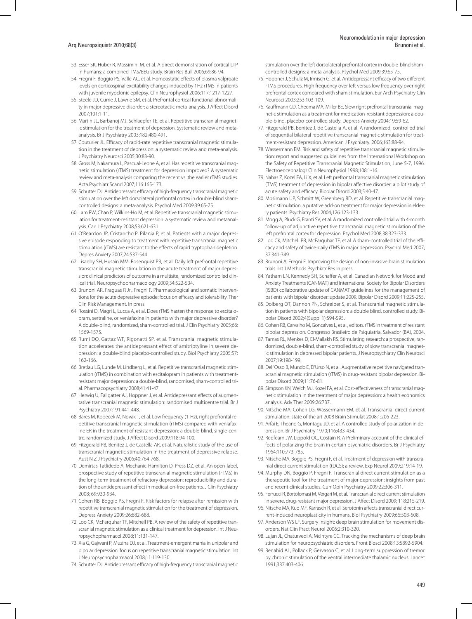- 53. Esser SK, Huber R, Massimini M, et al. A direct demonstration of cortical LTP in humans: a combined TMS/EEG study. Brain Res Bull 2006;69:86-94.
- 54. Fregni F, Boggio PS, Valle AC, et al. Homeostatic effects of plasma valproate levels on corticospinal excitability changes induced by 1Hz rTMS in patients with juvenile myoclonic epilepsy. Clin Neurophysiol 2006;117:1217-1227.
- 55. Steele JD, Currie J, Lawrie SM, et al. Prefrontal cortical functional abnormality in major depressive disorder: a stereotactic meta-analysis. J Affect Disord 2007;101:1-11.
- 56. Martin JL, Barbanoj MJ, Schlaepfer TE, et al. Repetitive transcranial magnetic stimulation for the treatment of depression. Systematic review and metaanalysis. Br J Psychiatry 2003;182:480-491.
- 57. Couturier JL. Efficacy of rapid-rate repetitive transcranial magnetic stimulation in the treatment of depression: a systematic review and meta-analysis. J Psychiatry Neurosci 2005;30:83-90.
- 58. Gross M, Nakamura L, Pascual-Leone A, et al. Has repetitive transcranial magnetic stimulation (rTMS) treatment for depression improved? A systematic review and meta-analysis comparing the recent vs. the earlier rTMS studies. Acta Psychiatr Scand 2007;116:165-173.
- 59. Schutter DJ. Antidepressant efficacy of high-frequency transcranial magnetic stimulation over the left dorsolateral prefrontal cortex in double-blind shamcontrolled designs: a meta-analysis. Psychol Med 2009;39:65-75.
- 60. Lam RW, Chan P, Wilkins-Ho M, et al. Repetitive transcranial magnetic stimulation for treatment-resistant depression: a systematic review and metaanalysis. Can J Psychiatry 2008;53:621-631.
- 61. O'Reardon JP, Cristancho P, Pilania P, et al. Patients with a major depressive episode responding to treatment with repetitive transcranial magnetic stimulation (rTMS) are resistant to the effects of rapid tryptophan depletion. Depres Anxiety 2007;24:537-544.
- 62. Lisanby SH, Husain MM, Rosenquist PB, et al. Daily left prefrontal repetitive transcranial magnetic stimulation in the acute treatment of major depression: clinical predictors of outcome in a multisite, randomized controlled clinical trial. Neuropsychopharmacology 2009;34:522-534.
- 63. Brunoni AR, Fraguas R Jr., Fregni F. Pharmacological and somatic interventions for the acute depressive episode: focus on efficacy and tolerability. Ther Clin Risk Management. In press.
- 64. Rossini D, Magri L, Lucca A, et al. Does rTMS hasten the response to escitalopram, sertraline, or venlafaxine in patients with major depressive disorder? A double-blind, randomized, sham-controlled trial. J Clin Psychiatry 2005;66: 1569-1575.
- 65. Rumi DO, Gattaz WF, Rigonatti SP, et al. Transcranial magnetic stimulation accelerates the antidepressant effect of amitriptyline in severe depression: a double-blind placebo-controlled study. Biol Psychiatry 2005;57: 162-166.
- 66. Bretlau LG, Lunde M, Lindberg L, et al. Repetitive transcranial magnetic stimulation (rTMS) in combination with escitalopram in patients with treatmentresistant major depression: a double-blind, randomised, sham-controlled trial. Pharmacopsychiatry 2008;41:41-47.
- 67. Herwig U, Fallgatter AJ, Hoppner J, et al. Antidepressant effects of augmentative transcranial magnetic stimulation: randomised multicentre trial. Br J Psychiatry 2007;191:441-448.
- 68. Bares M, Kopecek M, Novak T, et al. Low frequency (1-Hz), right prefrontal repetitive transcranial magnetic stimulation (rTMS) compared with venlafaxine ER in the treatment of resistant depression: a double-blind, single-centre, randomized study. J Affect Disord 2009;118:94-100.
- 69. Fitzgerald PB, Benitez J, de Castella AR, et al. Naturalistic study of the use of transcranial magnetic stimulation in the treatment of depressive relapse. Aust N Z J Psychiatry 2006;40:764-768.
- 70. Demirtas-Tatlidede A, Mechanic-Hamilton D, Press DZ, et al. An open-label, prospective study of repetitive transcranial magnetic stimulation (rTMS) in the long-term treatment of refractory depression: reproducibility and duration of the antidepressant effect in medication-free patients. J Clin Psychiatry 2008; 69:930-934.
- 71. Cohen RB, Boggio PS, Fregni F. Risk factors for relapse after remission with repetitive transcranial magnetic stimulation for the treatment of depression. Depress Anxiety 2009;26:682-688.
- 72. Loo CK, McFarquhar TF, Mitchell PB. A review of the safety of repetitive transcranial magnetic stimulation as a clinical treatment for depression. Int J Neuropsychopharmacol 2008;11:131-147.
- 73. Xia G, Gajwani P, Muzina DJ, et al. Treatment-emergent mania in unipolar and bipolar depression: focus on repetitive transcranial magnetic stimulation. Int J Neuropsychopharmacol 2008;11:119-130.
- 74. Schutter DJ. Antidepressant efficacy of high-frequency transcranial magnetic

stimulation over the left dorsolateral prefrontal cortex in double-blind shamcontrolled designs: a meta-analysis. Psychol Med 2009;39:65-75.

- 75. Hoppner J, Schulz M, Irmisch G, et al. Antidepressant efficacy of two different rTMS procedures. High frequency over left versus low frequency over right prefrontal cortex compared with sham stimulation. Eur Arch Psychiatry Clin Neurosci 2003;253:103-109.
- 76. Kauffmann CD, Cheema MA, Miller BE. Slow right prefrontal transcranial magnetic stimulation as a treatment for medication-resistant depression: a double-blind, placebo-controlled study. Depress Anxiety 2004;19:59-62.
- 77. Fitzgerald PB, Benitez J, de Castella A, et al. A randomized, controlled trial of sequential bilateral repetitive transcranial magnetic stimulation for treatment-resistant depression. American J Psychiatry. 2006;163:88-94.
- 78. Wassermann EM. Risk and safety of repetitive transcranial magnetic stimulation: report and suggested guidelines from the International Workshop on the Safety of Repetitive Transcranial Magnetic Stimulation, June 5-7, 1996. Electroencephalogr Clin Neurophysiol 1998;108:1-16.
- 79. Nahas Z, Kozel FA, Li X, et al. Left prefrontal transcranial magnetic stimulation (TMS) treatment of depression in bipolar affective disorder: a pilot study of acute safety and efficacy. Bipolar Disord 2003;5:40-47.
- 80. Mosimann UP, Schmitt W, Greenberg BD, et al. Repetitive transcranial magnetic stimulation: a putative add-on treatment for major depression in elderly patients. Psychiatry Res 2004;126:123-133.
- 81. Mogg A, Pluck G, Eranti SV, et al. A randomized controlled trial with 4-month follow-up of adjunctive repetitive transcranial magnetic stimulation of the left prefrontal cortex for depression. Psychol Med 2008;38:323-333.
- 82. Loo CK, Mitchell PB, McFarquhar TF, et al. A sham-controlled trial of the efficacy and safety of twice-daily rTMS in major depression. Psychol Med 2007; 37:341-349.
- 83. Brunoni A, Fregni F. Improving the design of non-invasive brain stimulation trials. Int J Methods Psychiatr Res In press.
- 84. Yatham LN, Kennedy SH, Schaffer A, et al. Canadian Network for Mood and Anxiety Treatments (CANMAT) and International Society for Bipolar Disorders (ISBD) collaborative update of CANMAT guidelines for the management of patients with bipolar disorder: update 2009. Bipolar Disord 2009;11:225-255.
- 85. Dolberg OT, Dannon PN, Schreiber S, et al. Transcranial magnetic stimulation in patients with bipolar depression: a double blind, controlled study. Bipolar Disord 2002;4(Suppl 1):S94-S95.
- 86. Cohen RB, Carvalho M, Goncalves L, et al., editors. rTMS in treatment of resistant bipolar depression. Congresso Brasileiro de Psiquiatria. Salvador (BA), 2004.
- 87. Tamas RL, Menkes D, El-Mallakh RS. Stimulating research: a prospective, randomized, double-blind, sham-controlled study of slow transcranial magnetic stimulation in depressed bipolar patients. J Neuropsychiatry Clin Neurosci 2007;19:198-199.
- 88. Dell'Osso B, Mundo E, D'Urso N, et al. Augmentative repetitive navigated transcranial magnetic stimulation (rTMS) in drug-resistant bipolar depression. Bipolar Disord 2009;11:76-81.
- 89. Simpson KN, Welch MJ, Kozel FA, et al. Cost-effectiveness of transcranial magnetic stimulation in the treatment of major depression: a health economics analysis. Adv Ther 2009;26:737.
- 90. Nitsche MA, Cohen LG, Wassermann EM, et al. Transcranial direct current stimulation: state of the art 2008 Brain Stimulat 2008;1:206-223.
- 91. Arfai E, Theano G, Montagu JD, et al. A controlled study of polarization in depression. Br J Psychiatry 1970;116:433-434.
- 92. Redfearn JW, Lippold OC, Costain R. A Preliminary account of the clinical effects of polarizing the brain in certain psychiatric disorders. Br J Psychiatry 1964;110:773-785.
- 93. Nitsche MA, Boggio PS, Fregni F, et al. Treatment of depression with transcranial direct current stimulation (tDCS): a review. Exp Neurol 2009;219:14-19.
- 94. Murphy DN, Boggio P, Fregni F. Transcranial direct current stimulation as a therapeutic tool for the treatment of major depression: insights from past and recent clinical studies. Curr Opin Psychiatry 2009;22:306-311.
- 95. Ferrucci R, Bortolomasi M, Vergari M, et al. Transcranial direct current stimulation in severe, drug-resistant major depression. J Affect Disord 2009; 118:215-219.
- 96. Nitsche MA, Kuo MF, Karrasch R, et al. Serotonin affects transcranial direct current-induced neuroplasticity in humans. Biol Psychiatry 2009;66:503-508.
- 97. Anderson WS LF. Surgery insight: deep brain stimulation for movement disorders. Nat Clin Pract Neurol 2006;2:310-320.
- 98. Lujan JL, Chaturvedi A, McIntyre CC. Tracking the mechanisms of deep brain stimulation for neuropsychiatric disorders. Front Biosci 2008;13:5892-5904.
- 99. Benabid AL, Pollack P, Gervason C, et al. Long-term suppression of tremor by chronic stimulation of the ventral intermediate thalamic nucleus. Lancet 1991;337:403-406.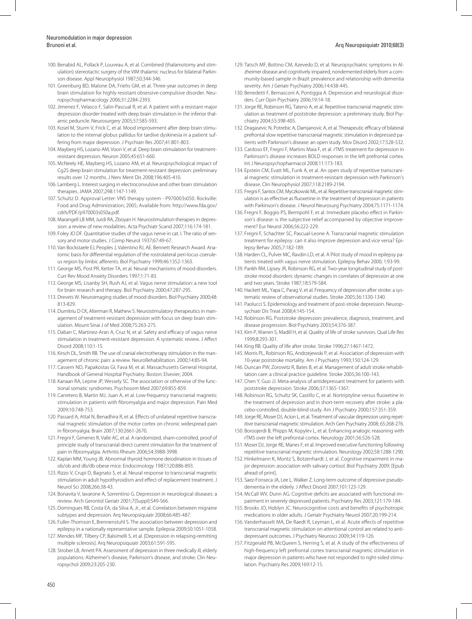- 100. Benabid AL, Pollack P, Louveau A, et al. Combined (thalamotomy and stimulation) stereotactic surgery of the VIM thalamic nucleus for bilateral Parkinson disease. Appl Neurophysiol 1987;50:344-346.
- 101. Greenburg BD, Malone DA, Friehs GM, et al. Three-year outcomes in deep brain stimulation for highly resistant obsessive-compulsive disorder. Neuropsychopharmacology 2006;31:2284-2393.
- 102. Jimenez F, Velasco F, Salin-Pascual R, et al. A patient with a resistant major depression disorder treated with deep brain stimulation in the inferior thalamic peduncle. Neurosurgery 2005;57:585-593.
- 103. Kosel M, Sturm V, Frick C, et al. Mood improvement after deep brain stimulation to the internal globus pallidus for tardive dyskinesia in a patient suffering from major depression. J Psychiatr Res 2007;41:801-803.
- 104. Mayberg HS, Lozano AM, Voon V, et al. Deep brain stimulation for treatmentresistant depression. Neuron 2005;45:651-660.
- 105. McNeely HE, Mayberg HS, Lozano AM, et al. Neuropsychological impact of Cg25 deep brain stimulation for treatment-resistant depression: preliminary results over 12 months. J Nerv Ment Dis 2008;196:405-410.
- 106. Lamberg L. Interest surging in electroconvulsive and other brain stimulation therapies. JAMA 2007;298:1147-1149.
- 107. Schultz D. Approval Letter: VNS therapy system P970003s050. Rockville: Food and Drug Administration; 2005; Available from: http://www.fda.gov/ cdrh/PDF/p970003s050a.pdf.
- 108. Marangell LB MM, Jurdi RA, Zboyan H. Neurostimulation therapies in depression: a review of new modalities. Acta Psychiatr Scand 2007;116:174-181.
- 109. Foley JO DF. Quantitative studies of the vagus nerve in cat. I. The ratio of sensory and motor studies. J Comp Neurol 1937;67:49-67.
- 110. Van Bockstaele EJ, Peoples J, Valentino RJ, AE. Bennett Research Award. Anatomic basis for differential regulation of the rostrolateral peri-locus coeruleus region by limbic afferents. Biol Psychiatry 1999;46:1352-1363.
- 111. George MS, Post PR, Ketter TA, et al. Neural mechanisms of mood disorders. Curr Rev Mood Anxiety Disorders 1997;1:71-83.
- 112. George MS, Lisanby SH, Rush AJ, et al. Vagus nerve stimulation: a new tool for brain research and therapy. Biol Psychiatry 2000;47:287-295.
- 113. Drevets W. Neuroimaging studies of mood disorders. Biol Psychiatry 2000;48: 813-829.
- 114. Dumitriu D CK, Alterman R, Mathew S. Neurostimulatory therapeutics in management of treatment-resistant depression with focus on deep brain stimulation. Mount Sinai J of Med 2008;75:263-275.
- 115. Daban C, Martinez-Aran A, Cruz N, et al. Safety and efficacy of vagus nerve stimulation in treatment-resistant depression. A systematic review. J Affect Disord 2008;110:1-15.
- 116. Kirsch DL, Smith RB. The use of cranial electrotherapy stimulation in the management of chronic pain: a review. NeuroRehabilitation. 2000;14:85-94.
- 117. Cassem ND, Papakostas GI, Fava M, et al. Massachusetts General Hospital, Handbook of General Hospital Psychiatry. Boston: Elsevier; 2004.
- 118. Kanaan RA, Lepine JP, Wessely SC. The association or otherwise of the functional somatic syndromes. Psychosom Med 2007;69:855-859.
- 119. Carretero B, Martin MJ, Juan A, et al. Low-frequency transcranial magnetic stimulation in patients with fibromyalgia and major depression. Pain Med 2009;10:748-753.
- 120. Passard A, Attal N, Benadhira R, et al. Effects of unilateral repetitive transcranial magnetic stimulation of the motor cortex on chronic widespread pain in fibromyalgia. Brain 2007;130:2661-2670.
- 121. Fregni F, Gimenes R, Valle AC, et al. A randomized, sham-controlled, proof of principle study of transcranial direct current stimulation for the treatment of pain in fibromyalgia. Arthritis Rheum 2006;54:3988-3998.
- 122. Kaplan MM, Young JB. Abnormal thyroid hormone deiodination in tissues of ob/ob and db/db obese mice. Endocrinology 1987;120:886-893.
- 123. Rizzo V, Crupi D, Bagnato S, et al. Neural response to transcranial magnetic stimulation in adult hypothyroidism and effect of replacement treatment. J Neurol Sci 2008;266:38-43.
- 124. Bonavita V, Iavarone A, Sorrentino G. Depression in neurological diseases: a review. Arch Gerontol Geriatr 2001;7(Suppl):S49-S66.
- 125. Domingues RB, Costa EA, da Silva A, Jr., et al. Correlation between migraine subtypes and depression. Arq Neuropsiquiatr 2008;66:485-487.
- 126. Fuller-Thomson E, Brennenstuhl S. The association between depression and epilepsy in a nationally representative sample. Epilepsia 2009;50:1051-1058.
- 127. Mendes MF, Tilbery CP, Balsimelli S, et al. [Depression in relapsing-remitting multiple sclerosis]. Arq Neuropsiquiatr 2003;61:591-595.
- 128. Strober LB, Arnett PA. Assessment of depression in three medically ill, elderly populations: Alzheimer's disease, Parkinson's disease, and stroke. Clin Neuropsychol 2009;23:205-230.
- 129. Tatsch MF, Bottino CM, Azevedo D, et al. Neuropsychiatric symptoms in Alzheimer disease and cognitively impaired, nondemented elderly from a community-based sample in Brazil: prevalence and relationship with dementia severity. Am J Geriatr Psychiatry 2006;14:438-445.
- 130. Benedetti F, Bernasconi A, Pontiggia A. Depression and neurological disorders. Curr Opin Psychiatry 2006;19:14-18.
- 131. Jorge RE, Robinson RG, Tateno A, et al. Repetitive transcranial magnetic stimulation as treatment of poststroke depression: a preliminary study. Biol Psychiatry 2004;55:398-405.
- 132. Dragasevic N, Potrebic A, Damjanovic A, et al. Therapeutic efficacy of bilateral prefrontal slow repetitive transcranial magnetic stimulation in depressed patients with Parkinson's disease: an open study. Mov Disord 2002;17:528-532.
- 133. Cardoso EF, Fregni F, Martins Maia F, et al. rTMS treatment for depression in Parkinson's disease increases BOLD responses in the left prefrontal cortex. Int J Neuropsychopharmacol 2008;11:173-183.
- 134. Epstein CM, Evatt ML, Funk A, et al. An open study of repetitive transcranial magnetic stimulation in treatment-resistant depression with Parkinson's disease. Clin Neurophysiol 2007;118:2189-2194.
- 135. Fregni F, Santos CM, Myczkowski ML, et al. Repetitive transcranial magnetic stimulation is as effective as fluoxetine in the treatment of depression in patients with Parkinson's disease. J Neurol Neurosurg Psychiatry 2004;75:1171-1174.
- 136. Fregni F, Boggio PS, Bermpohl F, et al. Immediate placebo effect in Parkinson's disease: is the subjective relief accompanied by objective improvement? Eur Neurol 2006;56:222-229.
- 137. Fregni F, Schachter SC, Pascual-Leone A. Transcranial magnetic stimulation treatment for epilepsy: can it also improve depression and vice versa? Epilepsy Behav 2005;7:182-189.
- 138. Harden CL, Pulver MC, Ravdin LD, et al. A Pilot study of mood in epilepsy patients treated with vagus nerve stimulation. Epilepsy Behav 2000; 1:93-99.
- 139. Parikh RM, Lipsey JR, Robinson RG, et al. Two-year longitudinal study of poststroke mood disorders: dynamic changes in correlates of depression at one and two years. Stroke 1987;18:579-584.
- 140. Hackett ML, Yapa C, Parag V, et al. Frequency of depression after stroke: a systematic review of observational studies. Stroke 2005;36:1330-1340.
- 141. Paolucci S. Epidemiology and treatment of post-stroke depression. Neuropsychiatr Dis Treat 2008;4:145-154.
- 142. Robinson RG. Poststroke depression: prevalence, diagnosis, treatment, and disease progression. Biol Psychiatry 2003;54:376-387.
- 143. Kim P, Warren S, Madill H, et al. Quality of life of stroke survivors. Qual Life Res 1999;8:293-301.
- 144. King RB. Quality of life after stroke. Stroke 1996;27:1467-1472.
- 145. Morris PL, Robinson RG, Andrzejewski P, et al. Association of depression with 10-year poststroke mortality. Am J Psychiatry 1993;150:124-129.
- 146. Duncan PW, Zorowitz R, Bates B, et al. Management of adult stroke rehabilitation care: a clinical practice guideline. Stroke 2005;36:100-143.
- 147. Chen Y, Guo JJ. Meta-analysis of antidepressant treatment for patients with poststroke depression. Stroke 2006;37:1365-1367.
- 148. Robinson RG, Schultz SK, Castillo C, et al. Nortriptyline versus fluoxetine in the treatment of depression and in short-term recovery after stroke: a placebo-controlled, double-blind study. Am J Psychiatry 2000;157:351-359.
- 149. Jorge RE, Moser DJ, Acion L, et al. Treatment of vascular depression using repetitive transcranial magnetic stimulation. Arch Gen Psychiatry 2008; 65:268-276.
- 150. Boroojerdi B, Phipps M, Kopylev L, et al. Enhancing analogic reasoning with rTMS over the left prefrontal cortex. Neurology 2001;56:526-528.
- 151. Moser DJ, Jorge RE, Manes F, et al. Improved executive functioning following repetitive transcranial magnetic stimulation. Neurology 2002;58:1288-1290.
- 152. Hinkelmann K, Moritz S, Botzenhardt J, et al. Cognitive impairment in major depression: association with salivary cortisol. Biol Psychiatry 2009; [Epub ahead of print].
- 153. Saez-Fonseca JA, Lee L, Walker Z. Long-term outcome of depressive pseudodementia in the elderly. J Affect Disord 2007;101:123-129.
- 154. McCall WV, Dunn AG. Cognitive deficits are associated with functional impairment in severely depressed patients. Psychiatry Res 2003;121:179-184.
- 155. Brooks JO, Hoblyn JC. Neurocognitive costs and benefits of psychotropic medications in older adults. J Geriatr Psychiatry Neurol 2007;20:199-214.
- 156. Vanderhasselt MA, De Raedt R, Leyman L, et al. Acute effects of repetitive transcranial magnetic stimulation on attentional control are related to antidepressant outcomes. J Psychiatry Neurosci 2009;34:119-126.
- 157. Fitzgerald PB, McQueen S, Herring S, et al. A study of the effectiveness of high-frequency left prefrontal cortex transcranial magnetic stimulation in major depression in patients who have not responded to right-sided stimulation. Psychiatry Res 2009;169:12-15.